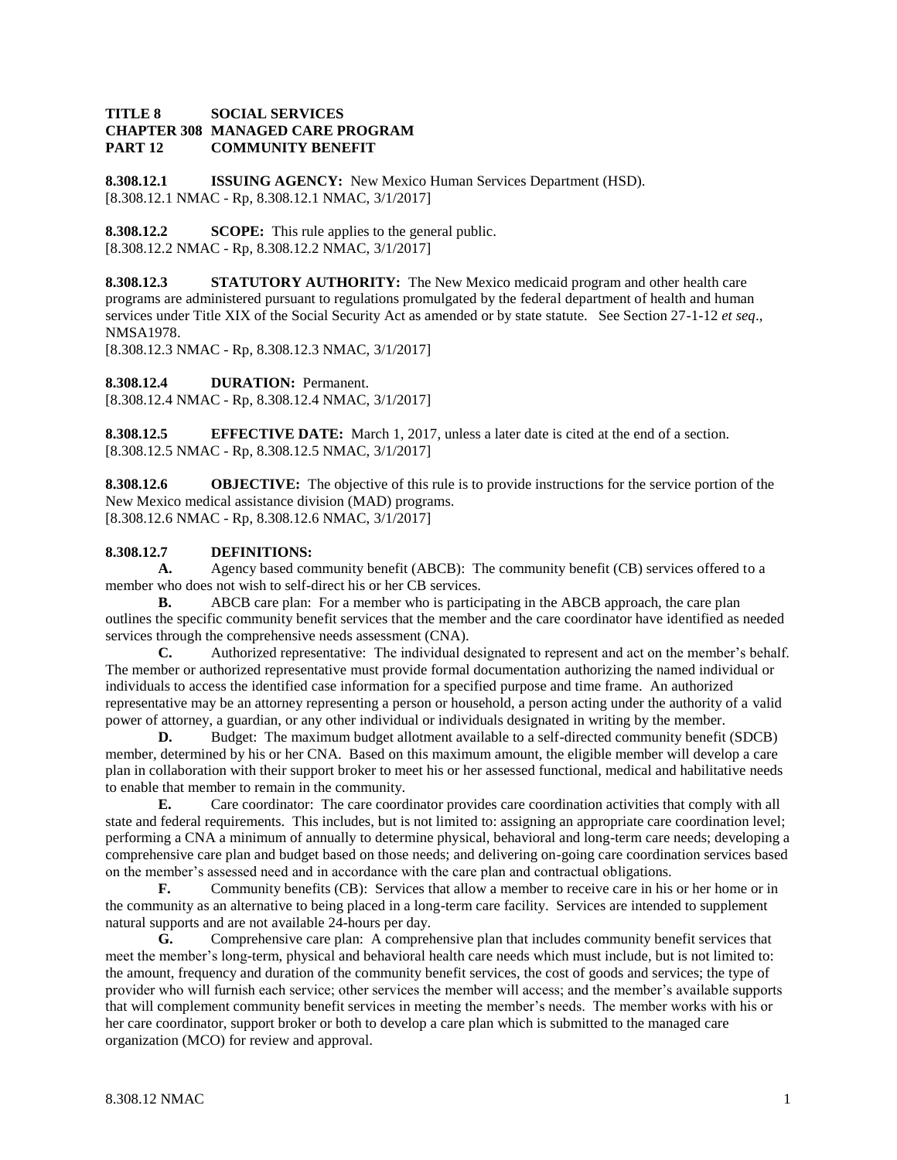## **TITLE 8 SOCIAL SERVICES CHAPTER 308 MANAGED CARE PROGRAM PART 12 COMMUNITY BENEFIT**

**8.308.12.1 ISSUING AGENCY:** New Mexico Human Services Department (HSD). [8.308.12.1 NMAC - Rp, 8.308.12.1 NMAC, 3/1/2017]

**8.308.12.2 SCOPE:** This rule applies to the general public. [8.308.12.2 NMAC - Rp, 8.308.12.2 NMAC, 3/1/2017]

**8.308.12.3 STATUTORY AUTHORITY:** The New Mexico medicaid program and other health care programs are administered pursuant to regulations promulgated by the federal department of health and human services under Title XIX of the Social Security Act as amended or by state statute. See Section 27-1-12 *et seq*., NMSA1978.

[8.308.12.3 NMAC - Rp, 8.308.12.3 NMAC, 3/1/2017]

**8.308.12.4 DURATION:** Permanent. [8.308.12.4 NMAC - Rp, 8.308.12.4 NMAC, 3/1/2017]

**8.308.12.5 EFFECTIVE DATE:** March 1, 2017, unless a later date is cited at the end of a section. [8.308.12.5 NMAC - Rp, 8.308.12.5 NMAC, 3/1/2017]

**8.308.12.6 OBJECTIVE:** The objective of this rule is to provide instructions for the service portion of the New Mexico medical assistance division (MAD) programs. [8.308.12.6 NMAC - Rp, 8.308.12.6 NMAC, 3/1/2017]

# **8.308.12.7 DEFINITIONS:**

**A.** Agency based community benefit (ABCB): The community benefit (CB) services offered to a member who does not wish to self-direct his or her CB services.

**B.** ABCB care plan: For a member who is participating in the ABCB approach, the care plan outlines the specific community benefit services that the member and the care coordinator have identified as needed services through the comprehensive needs assessment (CNA).

**C.** Authorized representative: The individual designated to represent and act on the member's behalf. The member or authorized representative must provide formal documentation authorizing the named individual or individuals to access the identified case information for a specified purpose and time frame. An authorized representative may be an attorney representing a person or household, a person acting under the authority of a valid power of attorney, a guardian, or any other individual or individuals designated in writing by the member.

**D.** Budget: The maximum budget allotment available to a self-directed community benefit (SDCB) member, determined by his or her CNA. Based on this maximum amount, the eligible member will develop a care plan in collaboration with their support broker to meet his or her assessed functional, medical and habilitative needs to enable that member to remain in the community.

**E.** Care coordinator: The care coordinator provides care coordination activities that comply with all state and federal requirements. This includes, but is not limited to: assigning an appropriate care coordination level; performing a CNA a minimum of annually to determine physical, behavioral and long-term care needs; developing a comprehensive care plan and budget based on those needs; and delivering on-going care coordination services based on the member's assessed need and in accordance with the care plan and contractual obligations.

**F.** Community benefits (CB): Services that allow a member to receive care in his or her home or in the community as an alternative to being placed in a long-term care facility. Services are intended to supplement natural supports and are not available 24-hours per day.

**G.** Comprehensive care plan: A comprehensive plan that includes community benefit services that meet the member's long-term, physical and behavioral health care needs which must include, but is not limited to: the amount, frequency and duration of the community benefit services, the cost of goods and services; the type of provider who will furnish each service; other services the member will access; and the member's available supports that will complement community benefit services in meeting the member's needs. The member works with his or her care coordinator, support broker or both to develop a care plan which is submitted to the managed care organization (MCO) for review and approval.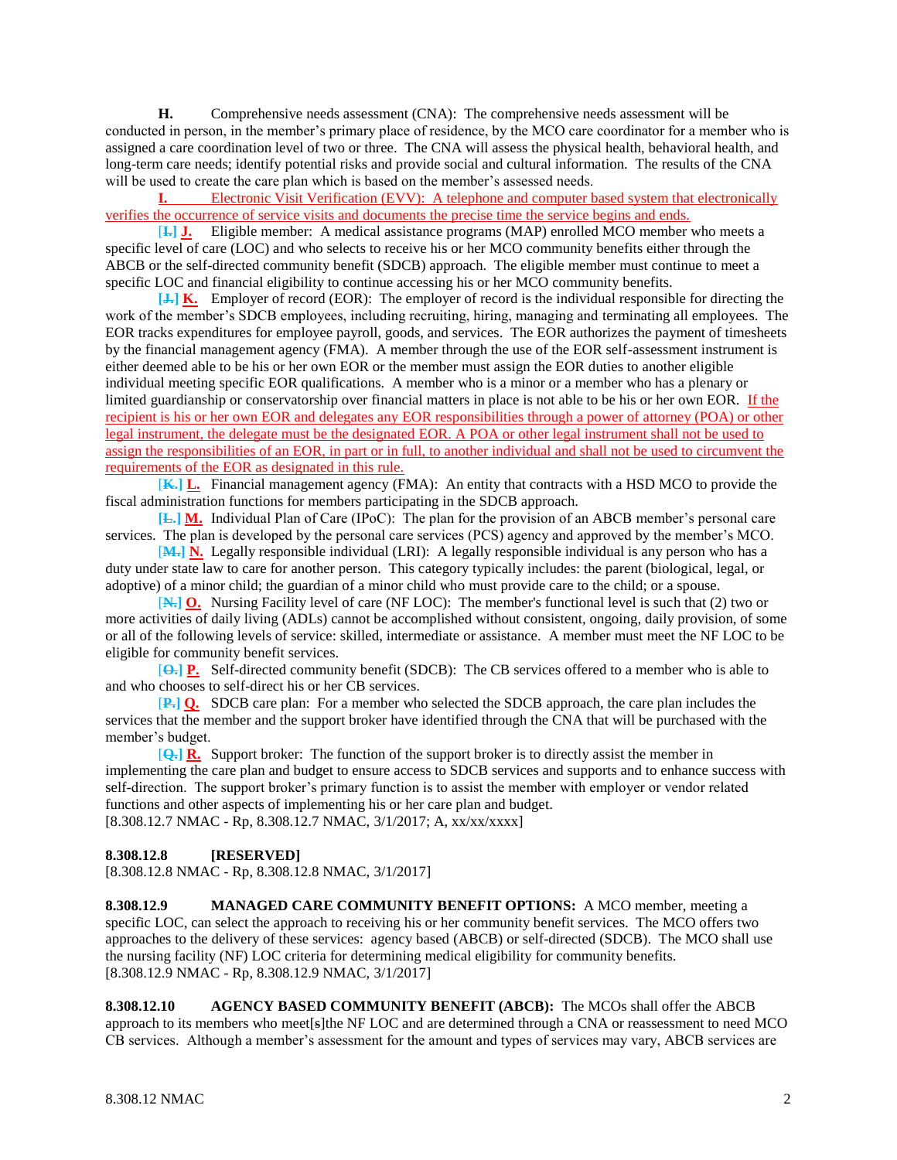**H.** Comprehensive needs assessment (CNA): The comprehensive needs assessment will be conducted in person, in the member's primary place of residence, by the MCO care coordinator for a member who is assigned a care coordination level of two or three. The CNA will assess the physical health, behavioral health, and long-term care needs; identify potential risks and provide social and cultural information. The results of the CNA will be used to create the care plan which is based on the member's assessed needs.

**I.** Electronic Visit Verification (EVV): A telephone and computer based system that electronically verifies the occurrence of service visits and documents the precise time the service begins and ends.

[**I.] J.** Eligible member: A medical assistance programs (MAP) enrolled MCO member who meets a specific level of care (LOC) and who selects to receive his or her MCO community benefits either through the ABCB or the self-directed community benefit (SDCB) approach. The eligible member must continue to meet a specific LOC and financial eligibility to continue accessing his or her MCO community benefits.

**[J.] K.** Employer of record (EOR): The employer of record is the individual responsible for directing the work of the member's SDCB employees, including recruiting, hiring, managing and terminating all employees. The EOR tracks expenditures for employee payroll, goods, and services. The EOR authorizes the payment of timesheets by the financial management agency (FMA). A member through the use of the EOR self-assessment instrument is either deemed able to be his or her own EOR or the member must assign the EOR duties to another eligible individual meeting specific EOR qualifications. A member who is a minor or a member who has a plenary or limited guardianship or conservatorship over financial matters in place is not able to be his or her own EOR. If the recipient is his or her own EOR and delegates any EOR responsibilities through a power of attorney (POA) or other legal instrument, the delegate must be the designated EOR. A POA or other legal instrument shall not be used to assign the responsibilities of an EOR, in part or in full, to another individual and shall not be used to circumvent the requirements of the EOR as designated in this rule.

[**K.] L.** Financial management agency (FMA): An entity that contracts with a HSD MCO to provide the fiscal administration functions for members participating in the SDCB approach.

**[L.] M.** Individual Plan of Care (IPoC): The plan for the provision of an ABCB member's personal care services. The plan is developed by the personal care services (PCS) agency and approved by the member's MCO.

[**M.] N.** Legally responsible individual (LRI): A legally responsible individual is any person who has a duty under state law to care for another person. This category typically includes: the parent (biological, legal, or adoptive) of a minor child; the guardian of a minor child who must provide care to the child; or a spouse.

[**N.] O.** Nursing Facility level of care (NF LOC): The member's functional level is such that (2) two or more activities of daily living (ADLs) cannot be accomplished without consistent, ongoing, daily provision, of some or all of the following levels of service: skilled, intermediate or assistance. A member must meet the NF LOC to be eligible for community benefit services.

[**O.] P.** Self-directed community benefit (SDCB): The CB services offered to a member who is able to and who chooses to self-direct his or her CB services.

[**P.] Q.** SDCB care plan: For a member who selected the SDCB approach, the care plan includes the services that the member and the support broker have identified through the CNA that will be purchased with the member's budget.

[**Q.] R.** Support broker: The function of the support broker is to directly assist the member in implementing the care plan and budget to ensure access to SDCB services and supports and to enhance success with self-direction. The support broker's primary function is to assist the member with employer or vendor related functions and other aspects of implementing his or her care plan and budget. [8.308.12.7 NMAC - Rp, 8.308.12.7 NMAC, 3/1/2017; A, xx/xx/xxxx]

#### **8.308.12.8 [RESERVED]**

[8.308.12.8 NMAC - Rp, 8.308.12.8 NMAC, 3/1/2017]

**8.308.12.9 MANAGED CARE COMMUNITY BENEFIT OPTIONS:** A MCO member, meeting a specific LOC, can select the approach to receiving his or her community benefit services. The MCO offers two approaches to the delivery of these services: agency based (ABCB) or self-directed (SDCB). The MCO shall use the nursing facility (NF) LOC criteria for determining medical eligibility for community benefits. [8.308.12.9 NMAC - Rp, 8.308.12.9 NMAC, 3/1/2017]

**8.308.12.10 AGENCY BASED COMMUNITY BENEFIT (ABCB):** The MCOs shall offer the ABCB approach to its members who meet[s]the NF LOC and are determined through a CNA or reassessment to need MCO CB services. Although a member's assessment for the amount and types of services may vary, ABCB services are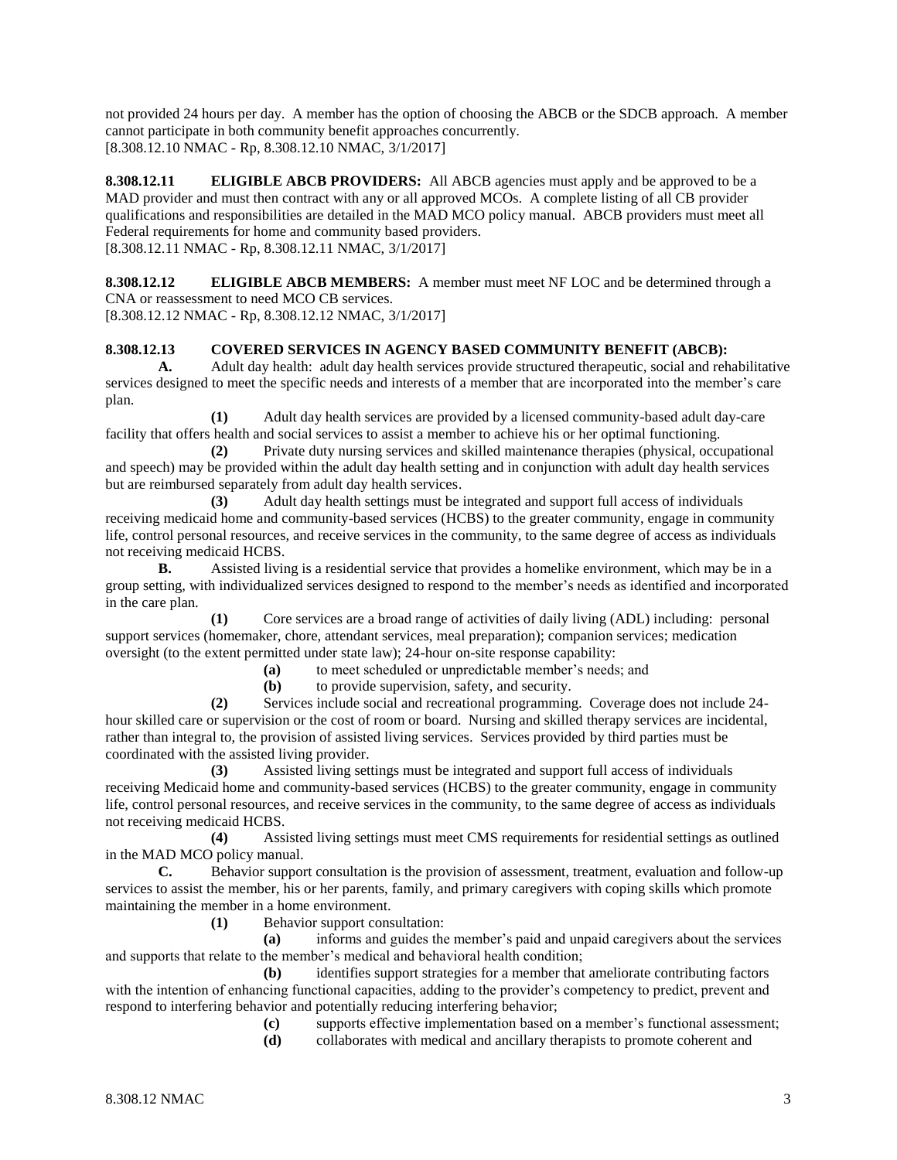not provided 24 hours per day. A member has the option of choosing the ABCB or the SDCB approach. A member cannot participate in both community benefit approaches concurrently. [8.308.12.10 NMAC - Rp, 8.308.12.10 NMAC, 3/1/2017]

**8.308.12.11 ELIGIBLE ABCB PROVIDERS:** All ABCB agencies must apply and be approved to be a MAD provider and must then contract with any or all approved MCOs. A complete listing of all CB provider qualifications and responsibilities are detailed in the MAD MCO policy manual. ABCB providers must meet all Federal requirements for home and community based providers. [8.308.12.11 NMAC - Rp, 8.308.12.11 NMAC, 3/1/2017]

**8.308.12.12 ELIGIBLE ABCB MEMBERS:** A member must meet NF LOC and be determined through a CNA or reassessment to need MCO CB services.

[8.308.12.12 NMAC - Rp, 8.308.12.12 NMAC, 3/1/2017]

# **8.308.12.13 COVERED SERVICES IN AGENCY BASED COMMUNITY BENEFIT (ABCB):**

**A.** Adult day health: adult day health services provide structured therapeutic, social and rehabilitative services designed to meet the specific needs and interests of a member that are incorporated into the member's care plan.

**(1)** Adult day health services are provided by a licensed community-based adult day-care facility that offers health and social services to assist a member to achieve his or her optimal functioning.

**(2)** Private duty nursing services and skilled maintenance therapies (physical, occupational and speech) may be provided within the adult day health setting and in conjunction with adult day health services but are reimbursed separately from adult day health services.

**(3)** Adult day health settings must be integrated and support full access of individuals receiving medicaid home and community-based services (HCBS) to the greater community, engage in community life, control personal resources, and receive services in the community, to the same degree of access as individuals not receiving medicaid HCBS.

**B.** Assisted living is a residential service that provides a homelike environment, which may be in a group setting, with individualized services designed to respond to the member's needs as identified and incorporated in the care plan.

**(1)** Core services are a broad range of activities of daily living (ADL) including: personal support services (homemaker, chore, attendant services, meal preparation); companion services; medication oversight (to the extent permitted under state law); 24-hour on-site response capability:

**(a)** to meet scheduled or unpredictable member's needs; and

**(b)** to provide supervision, safety, and security.

**(2)** Services include social and recreational programming. Coverage does not include 24 hour skilled care or supervision or the cost of room or board. Nursing and skilled therapy services are incidental, rather than integral to, the provision of assisted living services. Services provided by third parties must be coordinated with the assisted living provider.

**(3)** Assisted living settings must be integrated and support full access of individuals receiving Medicaid home and community-based services (HCBS) to the greater community, engage in community life, control personal resources, and receive services in the community, to the same degree of access as individuals not receiving medicaid HCBS.

**(4)** Assisted living settings must meet CMS requirements for residential settings as outlined in the MAD MCO policy manual.<br> **C.** Behavior support

**C.** Behavior support consultation is the provision of assessment, treatment, evaluation and follow-up services to assist the member, his or her parents, family, and primary caregivers with coping skills which promote maintaining the member in a home environment.

**(1)** Behavior support consultation:

**(a)** informs and guides the member's paid and unpaid caregivers about the services and supports that relate to the member's medical and behavioral health condition;

**(b)** identifies support strategies for a member that ameliorate contributing factors with the intention of enhancing functional capacities, adding to the provider's competency to predict, prevent and respond to interfering behavior and potentially reducing interfering behavior;

**(c)** supports effective implementation based on a member's functional assessment;

**(d)** collaborates with medical and ancillary therapists to promote coherent and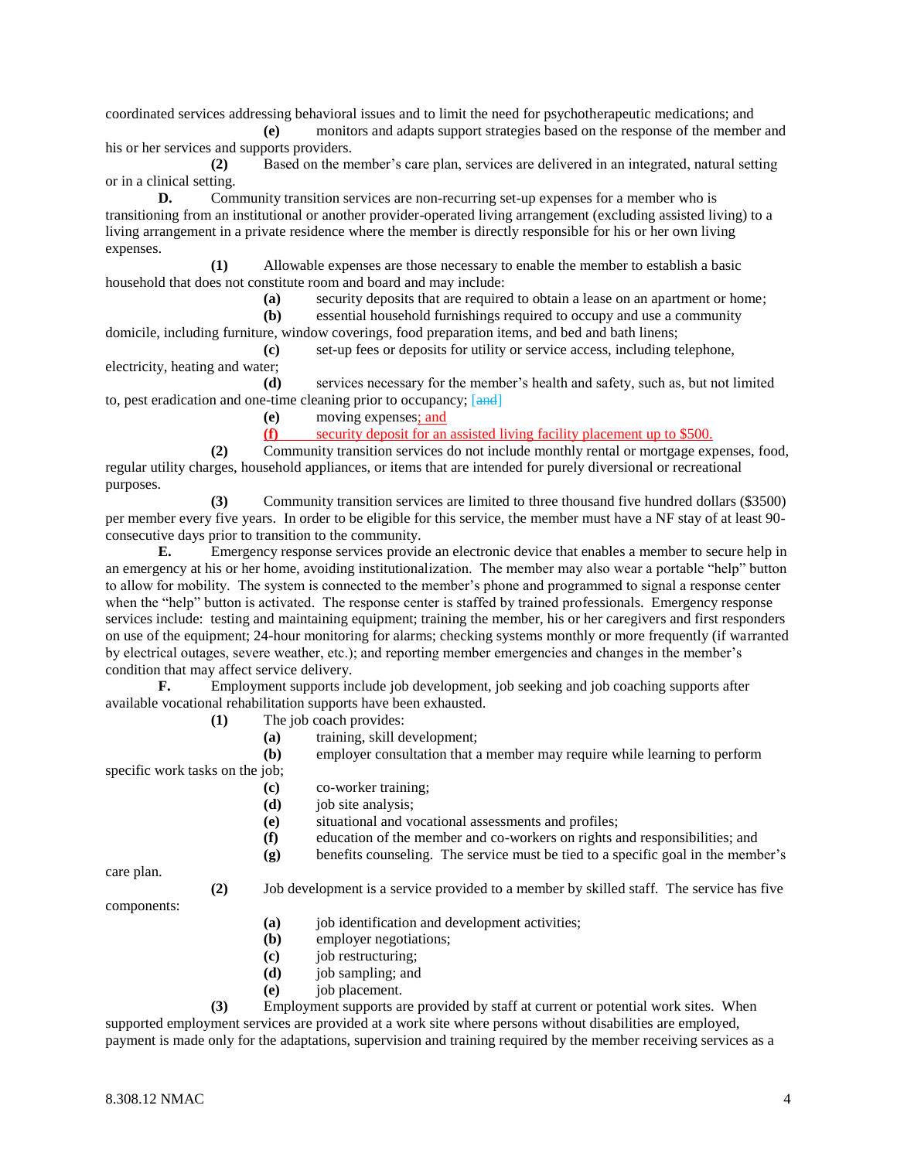coordinated services addressing behavioral issues and to limit the need for psychotherapeutic medications; and

**(e)** monitors and adapts support strategies based on the response of the member and his or her services and supports providers.

**(2)** Based on the member's care plan, services are delivered in an integrated, natural setting or in a clinical setting.

**D.** Community transition services are non-recurring set-up expenses for a member who is transitioning from an institutional or another provider-operated living arrangement (excluding assisted living) to a living arrangement in a private residence where the member is directly responsible for his or her own living expenses.

**(1)** Allowable expenses are those necessary to enable the member to establish a basic household that does not constitute room and board and may include:

**(a)** security deposits that are required to obtain a lease on an apartment or home;

**(b)** essential household furnishings required to occupy and use a community domicile, including furniture, window coverings, food preparation items, and bed and bath linens;

**(c)** set-up fees or deposits for utility or service access, including telephone, electricity, heating and water;

**(d)** services necessary for the member's health and safety, such as, but not limited to, pest eradication and one-time cleaning prior to occupancy; [and]

**(e)** moving expenses; and

**(f)** security deposit for an assisted living facility placement up to \$500.

**(2)** Community transition services do not include monthly rental or mortgage expenses, food, regular utility charges, household appliances, or items that are intended for purely diversional or recreational purposes.

**(3)** Community transition services are limited to three thousand five hundred dollars (\$3500) per member every five years. In order to be eligible for this service, the member must have a NF stay of at least 90 consecutive days prior to transition to the community.

**E.** Emergency response services provide an electronic device that enables a member to secure help in an emergency at his or her home, avoiding institutionalization. The member may also wear a portable "help" button to allow for mobility. The system is connected to the member's phone and programmed to signal a response center when the "help" button is activated. The response center is staffed by trained professionals. Emergency response services include: testing and maintaining equipment; training the member, his or her caregivers and first responders on use of the equipment; 24-hour monitoring for alarms; checking systems monthly or more frequently (if warranted by electrical outages, severe weather, etc.); and reporting member emergencies and changes in the member's condition that may affect service delivery.

**F.** Employment supports include job development, job seeking and job coaching supports after available vocational rehabilitation supports have been exhausted.

- **(1)** The job coach provides:
	- **(a)** training, skill development;

**(b)** employer consultation that a member may require while learning to perform specific work tasks on the job;

- **(c)** co-worker training;
- **(d)** job site analysis;
- **(e)** situational and vocational assessments and profiles;
- **(f)** education of the member and co-workers on rights and responsibilities; and
- **(g)** benefits counseling. The service must be tied to a specific goal in the member's

care plan.

**(2)** Job development is a service provided to a member by skilled staff. The service has five

components:

- **(a)** job identification and development activities;
- **(b)** employer negotiations;
- **(c)** job restructuring;
- **(d)** job sampling; and
- **(e)** job placement.

**(3)** Employment supports are provided by staff at current or potential work sites. When supported employment services are provided at a work site where persons without disabilities are employed, payment is made only for the adaptations, supervision and training required by the member receiving services as a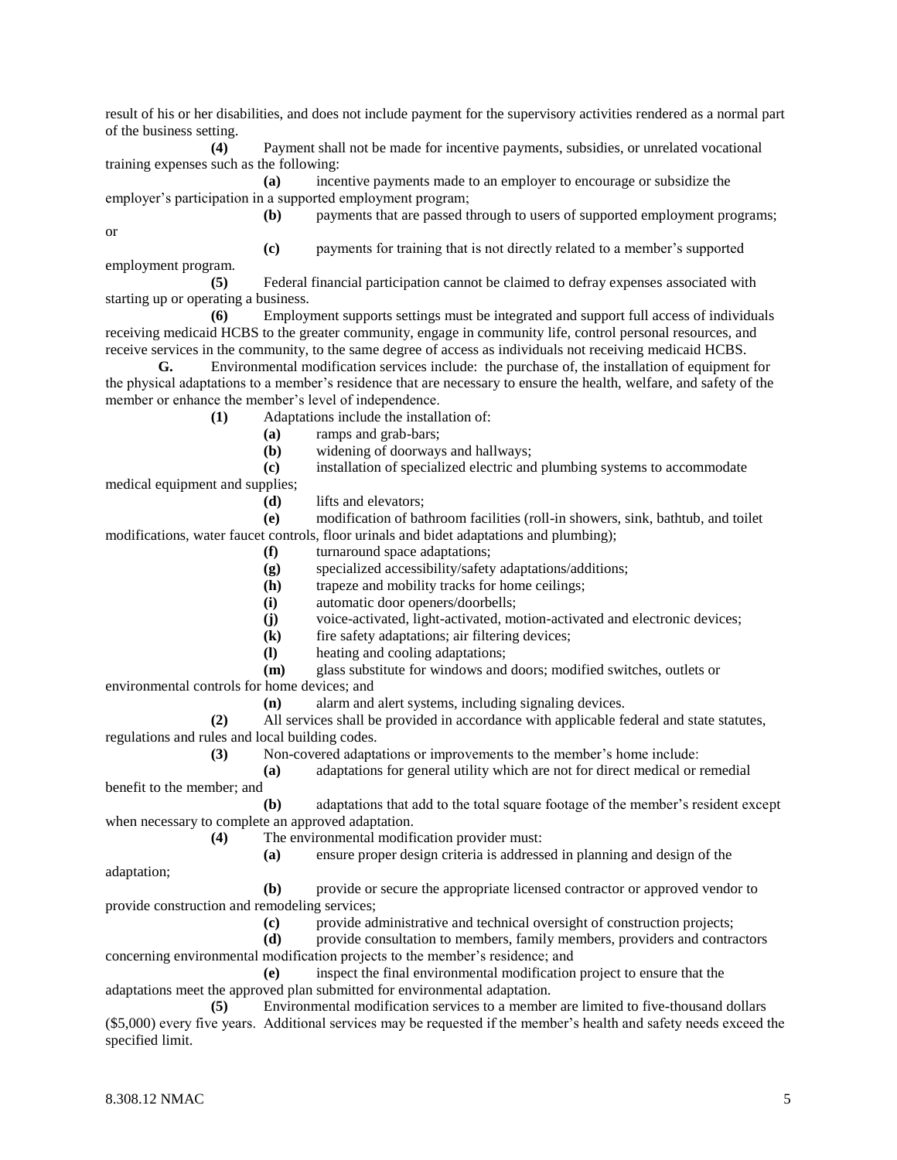result of his or her disabilities, and does not include payment for the supervisory activities rendered as a normal part of the business setting.

**(4)** Payment shall not be made for incentive payments, subsidies, or unrelated vocational training expenses such as the following:

**(a)** incentive payments made to an employer to encourage or subsidize the employer's participation in a supported employment program;

or

**(b)** payments that are passed through to users of supported employment programs;

**(c)** payments for training that is not directly related to a member's supported employment program. **(5)** Federal financial participation cannot be claimed to defray expenses associated with

starting up or operating a business.

**(6)** Employment supports settings must be integrated and support full access of individuals receiving medicaid HCBS to the greater community, engage in community life, control personal resources, and receive services in the community, to the same degree of access as individuals not receiving medicaid HCBS.

**G.** Environmental modification services include: the purchase of, the installation of equipment for the physical adaptations to a member's residence that are necessary to ensure the health, welfare, and safety of the member or enhance the member's level of independence.

**(1)** Adaptations include the installation of:

**(a)** ramps and grab-bars;

**(b)** widening of doorways and hallways;

**(c)** installation of specialized electric and plumbing systems to accommodate

medical equipment and supplies;

**(d)** lifts and elevators;

**(e)** modification of bathroom facilities (roll-in showers, sink, bathtub, and toilet modifications, water faucet controls, floor urinals and bidet adaptations and plumbing);

**(f)** turnaround space adaptations;

**(g)** specialized accessibility/safety adaptations/additions;

**(h)** trapeze and mobility tracks for home ceilings;

**(i)** automatic door openers/doorbells;

**(j)** voice-activated, light-activated, motion-activated and electronic devices;

**(k)** fire safety adaptations; air filtering devices;

**(l)** heating and cooling adaptations;

**(m)** glass substitute for windows and doors; modified switches, outlets or

environmental controls for home devices; and

**(n)** alarm and alert systems, including signaling devices.

**(2)** All services shall be provided in accordance with applicable federal and state statutes, regulations and rules and local building codes.

**(3)** Non-covered adaptations or improvements to the member's home include:

**(a)** adaptations for general utility which are not for direct medical or remedial benefit to the member; and

**(b)** adaptations that add to the total square footage of the member's resident except when necessary to complete an approved adaptation.

**(4)** The environmental modification provider must:

**(a)** ensure proper design criteria is addressed in planning and design of the

adaptation;

**(b)** provide or secure the appropriate licensed contractor or approved vendor to provide construction and remodeling services;

**(c)** provide administrative and technical oversight of construction projects;

**(d)** provide consultation to members, family members, providers and contractors concerning environmental modification projects to the member's residence; and

**(e)** inspect the final environmental modification project to ensure that the adaptations meet the approved plan submitted for environmental adaptation.

**(5)** Environmental modification services to a member are limited to five-thousand dollars (\$5,000) every five years. Additional services may be requested if the member's health and safety needs exceed the specified limit.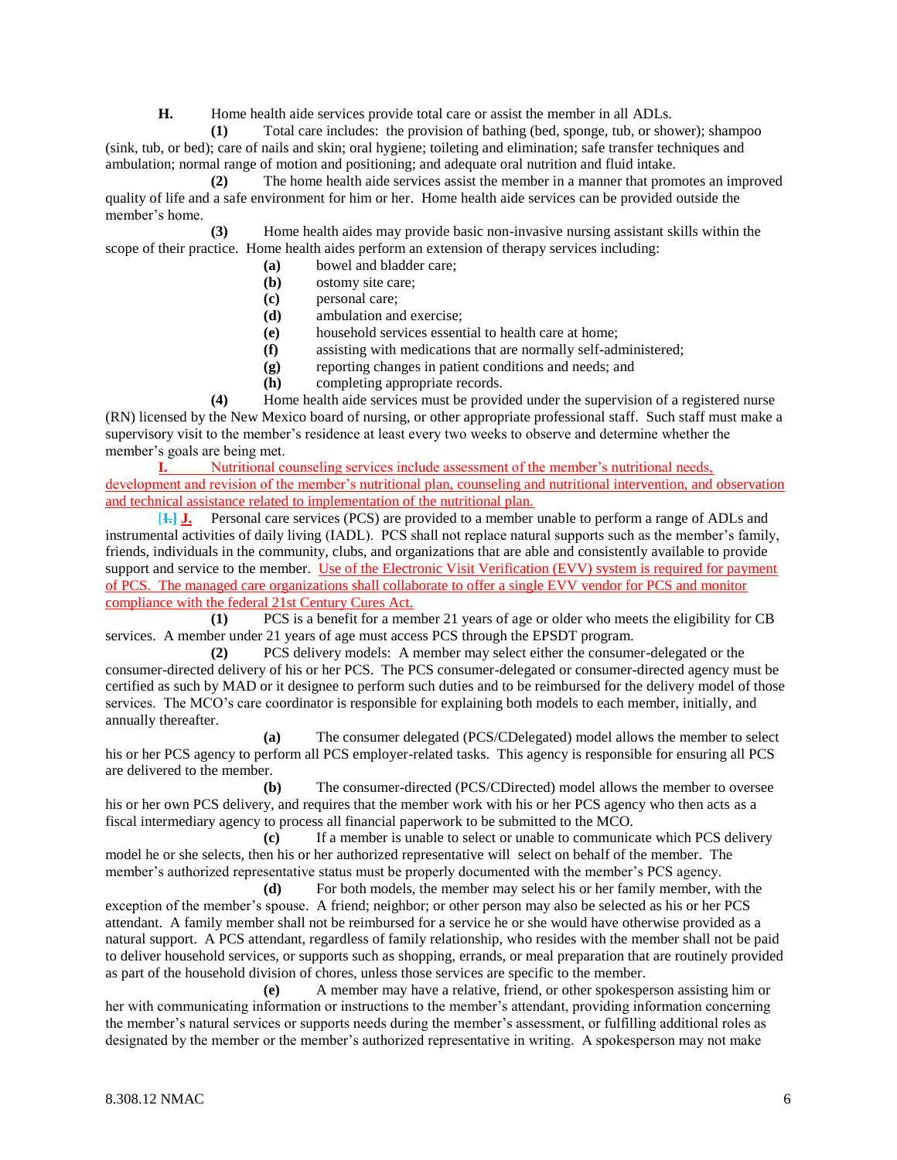**H.** Home health aide services provide total care or assist the member in all ADLs.

**(1)** Total care includes: the provision of bathing (bed, sponge, tub, or shower); shampoo (sink, tub, or bed); care of nails and skin; oral hygiene; toileting and elimination; safe transfer techniques and ambulation; normal range of motion and positioning; and adequate oral nutrition and fluid intake.

**(2)** The home health aide services assist the member in a manner that promotes an improved quality of life and a safe environment for him or her. Home health aide services can be provided outside the member's home.

**(3)** Home health aides may provide basic non-invasive nursing assistant skills within the scope of their practice. Home health aides perform an extension of therapy services including:

- **(a)** bowel and bladder care;
- **(b)** ostomy site care;
- **(c)** personal care;
- **(d)** ambulation and exercise;
- **(e)** household services essential to health care at home;
- **(f)** assisting with medications that are normally self-administered;
- **(g)** reporting changes in patient conditions and needs; and
- **(h)** completing appropriate records.

**(4)** Home health aide services must be provided under the supervision of a registered nurse (RN) licensed by the New Mexico board of nursing, or other appropriate professional staff. Such staff must make a supervisory visit to the member's residence at least every two weeks to observe and determine whether the member's goals are being met.

**I.** Nutritional counseling services include assessment of the member's nutritional needs, development and revision of the member's nutritional plan, counseling and nutritional intervention, and observation and technical assistance related to implementation of the nutritional plan.

[**I.] J.** Personal care services (PCS) are provided to a member unable to perform a range of ADLs and instrumental activities of daily living (IADL). PCS shall not replace natural supports such as the member's family, friends, individuals in the community, clubs, and organizations that are able and consistently available to provide support and service to the member. Use of the Electronic Visit Verification (EVV) system is required for payment of PCS. The managed care organizations shall collaborate to offer a single EVV vendor for PCS and monitor compliance with the federal 21st Century Cures Act.

**(1)** PCS is a benefit for a member 21 years of age or older who meets the eligibility for CB services. A member under 21 years of age must access PCS through the EPSDT program.

**(2)** PCS delivery models: A member may select either the consumer-delegated or the consumer-directed delivery of his or her PCS. The PCS consumer-delegated or consumer-directed agency must be certified as such by MAD or it designee to perform such duties and to be reimbursed for the delivery model of those services. The MCO's care coordinator is responsible for explaining both models to each member, initially, and annually thereafter.

**(a)** The consumer delegated (PCS/CDelegated) model allows the member to select his or her PCS agency to perform all PCS employer-related tasks. This agency is responsible for ensuring all PCS are delivered to the member.

**(b)** The consumer-directed (PCS/CDirected) model allows the member to oversee his or her own PCS delivery, and requires that the member work with his or her PCS agency who then acts as a fiscal intermediary agency to process all financial paperwork to be submitted to the MCO.

**(c)** If a member is unable to select or unable to communicate which PCS delivery model he or she selects, then his or her authorized representative will select on behalf of the member. The member's authorized representative status must be properly documented with the member's PCS agency.

**(d)** For both models, the member may select his or her family member, with the exception of the member's spouse. A friend; neighbor; or other person may also be selected as his or her PCS attendant. A family member shall not be reimbursed for a service he or she would have otherwise provided as a natural support. A PCS attendant, regardless of family relationship, who resides with the member shall not be paid to deliver household services, or supports such as shopping, errands, or meal preparation that are routinely provided as part of the household division of chores, unless those services are specific to the member.

**(e)** A member may have a relative, friend, or other spokesperson assisting him or her with communicating information or instructions to the member's attendant, providing information concerning the member's natural services or supports needs during the member's assessment, or fulfilling additional roles as designated by the member or the member's authorized representative in writing. A spokesperson may not make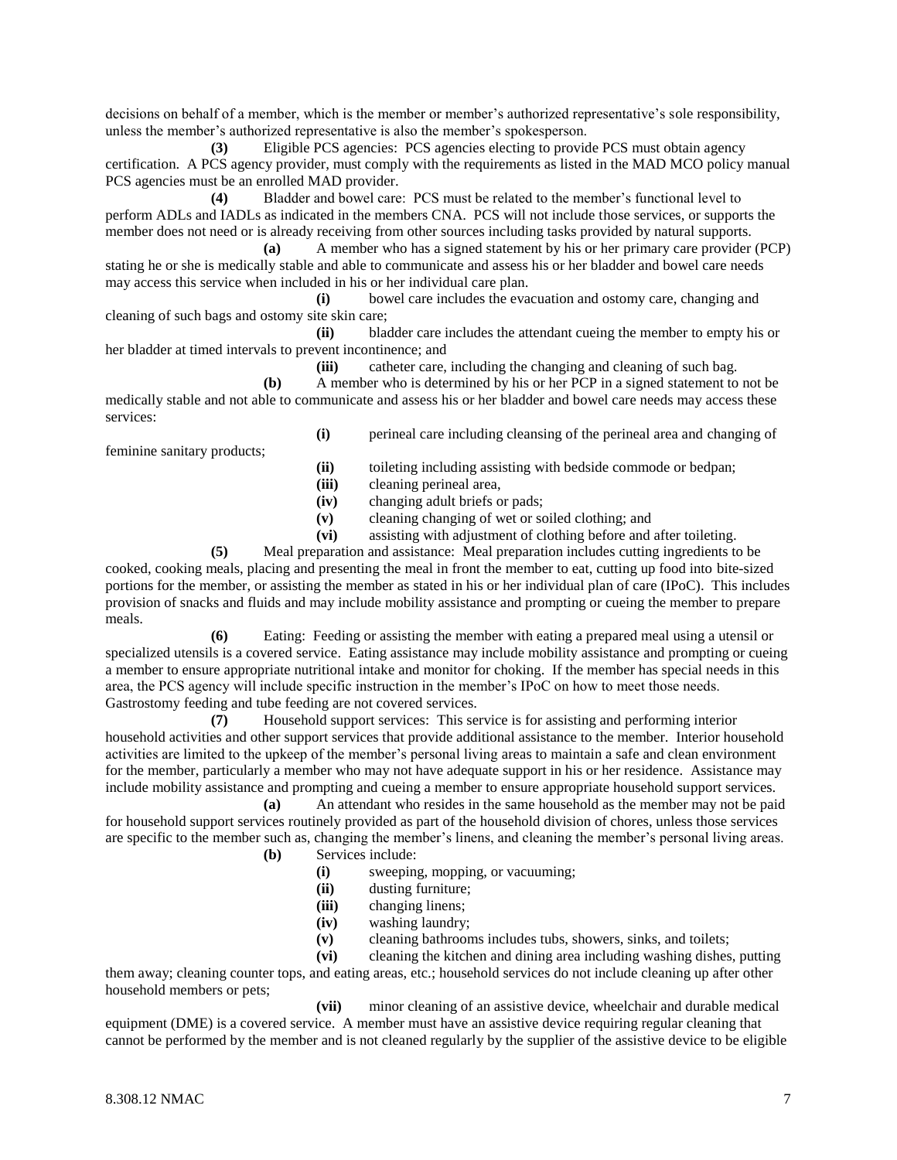decisions on behalf of a member, which is the member or member's authorized representative's sole responsibility, unless the member's authorized representative is also the member's spokesperson.

**(3)** Eligible PCS agencies: PCS agencies electing to provide PCS must obtain agency certification. A PCS agency provider, must comply with the requirements as listed in the MAD MCO policy manual PCS agencies must be an enrolled MAD provider.

**(4)** Bladder and bowel care: PCS must be related to the member's functional level to perform ADLs and IADLs as indicated in the members CNA. PCS will not include those services, or supports the member does not need or is already receiving from other sources including tasks provided by natural supports.

**(a)** A member who has a signed statement by his or her primary care provider (PCP) stating he or she is medically stable and able to communicate and assess his or her bladder and bowel care needs may access this service when included in his or her individual care plan.

**(i)** bowel care includes the evacuation and ostomy care, changing and cleaning of such bags and ostomy site skin care;

**(ii)** bladder care includes the attendant cueing the member to empty his or her bladder at timed intervals to prevent incontinence; and

**(iii)** catheter care, including the changing and cleaning of such bag.

**(b)** A member who is determined by his or her PCP in a signed statement to not be medically stable and not able to communicate and assess his or her bladder and bowel care needs may access these services:

feminine sanitary products;

**(i)** perineal care including cleansing of the perineal area and changing of

- **(ii)** toileting including assisting with bedside commode or bedpan;
- **(iii)** cleaning perineal area,
- **(iv)** changing adult briefs or pads;
- **(v)** cleaning changing of wet or soiled clothing; and
- **(vi)** assisting with adjustment of clothing before and after toileting.

**(5)** Meal preparation and assistance: Meal preparation includes cutting ingredients to be cooked, cooking meals, placing and presenting the meal in front the member to eat, cutting up food into bite-sized portions for the member, or assisting the member as stated in his or her individual plan of care (IPoC). This includes provision of snacks and fluids and may include mobility assistance and prompting or cueing the member to prepare meals.

**(6)** Eating: Feeding or assisting the member with eating a prepared meal using a utensil or specialized utensils is a covered service. Eating assistance may include mobility assistance and prompting or cueing a member to ensure appropriate nutritional intake and monitor for choking. If the member has special needs in this area, the PCS agency will include specific instruction in the member's IPoC on how to meet those needs. Gastrostomy feeding and tube feeding are not covered services.

**(7)** Household support services: This service is for assisting and performing interior household activities and other support services that provide additional assistance to the member. Interior household activities are limited to the upkeep of the member's personal living areas to maintain a safe and clean environment for the member, particularly a member who may not have adequate support in his or her residence. Assistance may include mobility assistance and prompting and cueing a member to ensure appropriate household support services.

**(a)** An attendant who resides in the same household as the member may not be paid for household support services routinely provided as part of the household division of chores, unless those services are specific to the member such as, changing the member's linens, and cleaning the member's personal living areas.

- **(b)** Services include:
	- **(i)** sweeping, mopping, or vacuuming;
	- **(ii)** dusting furniture;
	- **(iii)** changing linens;
	- **(iv)** washing laundry;
	- **(v)** cleaning bathrooms includes tubs, showers, sinks, and toilets;

**(vi)** cleaning the kitchen and dining area including washing dishes, putting them away; cleaning counter tops, and eating areas, etc.; household services do not include cleaning up after other

household members or pets;

**(vii)** minor cleaning of an assistive device, wheelchair and durable medical equipment (DME) is a covered service. A member must have an assistive device requiring regular cleaning that cannot be performed by the member and is not cleaned regularly by the supplier of the assistive device to be eligible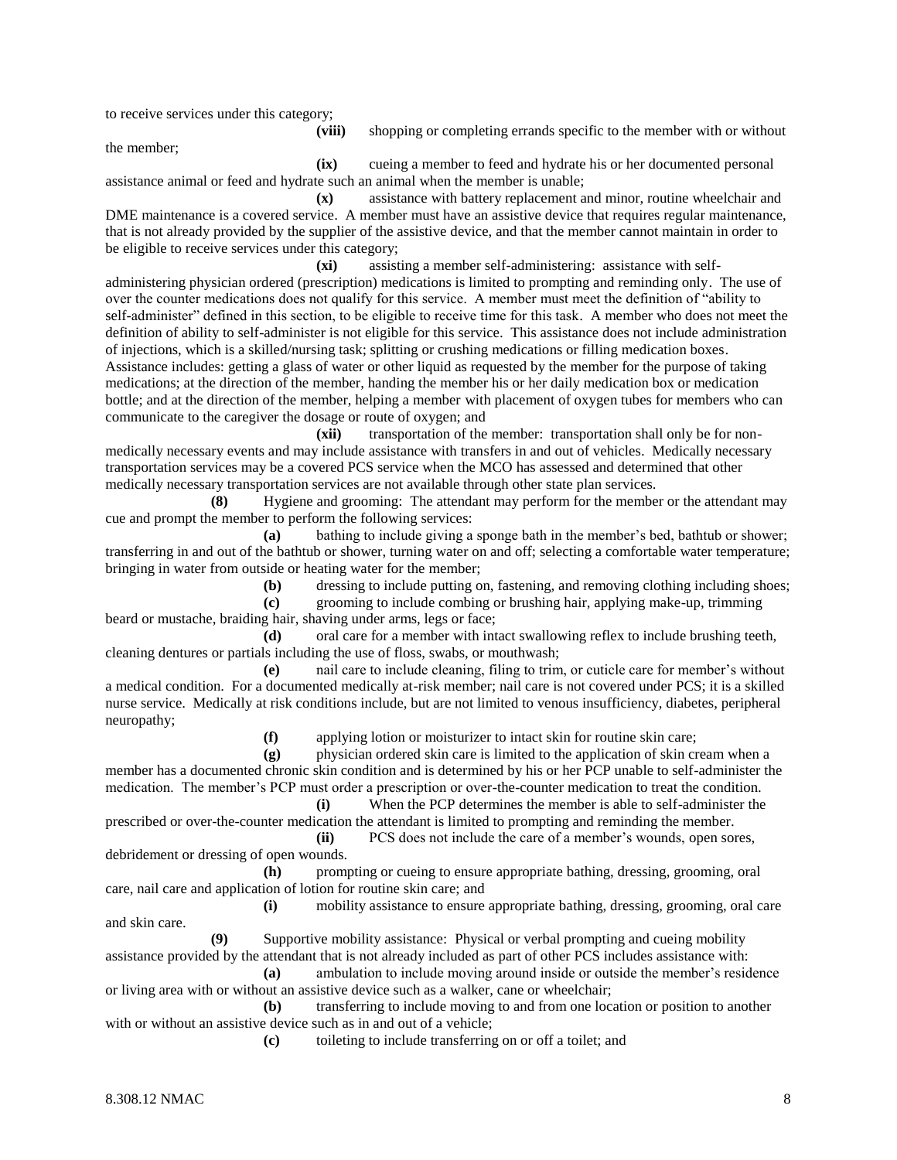to receive services under this category;

the member;

**(ix)** cueing a member to feed and hydrate his or her documented personal assistance animal or feed and hydrate such an animal when the member is unable;

**(x)** assistance with battery replacement and minor, routine wheelchair and DME maintenance is a covered service. A member must have an assistive device that requires regular maintenance, that is not already provided by the supplier of the assistive device, and that the member cannot maintain in order to be eligible to receive services under this category;

**(xi)** assisting a member self-administering: assistance with selfadministering physician ordered (prescription) medications is limited to prompting and reminding only. The use of over the counter medications does not qualify for this service. A member must meet the definition of "ability to self-administer" defined in this section, to be eligible to receive time for this task. A member who does not meet the definition of ability to self-administer is not eligible for this service. This assistance does not include administration of injections, which is a skilled/nursing task; splitting or crushing medications or filling medication boxes. Assistance includes: getting a glass of water or other liquid as requested by the member for the purpose of taking medications; at the direction of the member, handing the member his or her daily medication box or medication bottle; and at the direction of the member, helping a member with placement of oxygen tubes for members who can communicate to the caregiver the dosage or route of oxygen; and

**(xii)** transportation of the member: transportation shall only be for nonmedically necessary events and may include assistance with transfers in and out of vehicles. Medically necessary transportation services may be a covered PCS service when the MCO has assessed and determined that other medically necessary transportation services are not available through other state plan services.

**(8)** Hygiene and grooming: The attendant may perform for the member or the attendant may cue and prompt the member to perform the following services:

**(a)** bathing to include giving a sponge bath in the member's bed, bathtub or shower; transferring in and out of the bathtub or shower, turning water on and off; selecting a comfortable water temperature; bringing in water from outside or heating water for the member;

**(b)** dressing to include putting on, fastening, and removing clothing including shoes;

**(c)** grooming to include combing or brushing hair, applying make-up, trimming beard or mustache, braiding hair, shaving under arms, legs or face;

**(d)** oral care for a member with intact swallowing reflex to include brushing teeth, cleaning dentures or partials including the use of floss, swabs, or mouthwash;

**(e)** nail care to include cleaning, filing to trim, or cuticle care for member's without a medical condition. For a documented medically at-risk member; nail care is not covered under PCS; it is a skilled nurse service. Medically at risk conditions include, but are not limited to venous insufficiency, diabetes, peripheral neuropathy;

**(f)** applying lotion or moisturizer to intact skin for routine skin care;

**(g)** physician ordered skin care is limited to the application of skin cream when a member has a documented chronic skin condition and is determined by his or her PCP unable to self-administer the medication. The member's PCP must order a prescription or over-the-counter medication to treat the condition.

**(i)** When the PCP determines the member is able to self-administer the prescribed or over-the-counter medication the attendant is limited to prompting and reminding the member. **(ii)** PCS does not include the care of a member's wounds, open sores,

debridement or dressing of open wounds.

**(h)** prompting or cueing to ensure appropriate bathing, dressing, grooming, oral care, nail care and application of lotion for routine skin care; and

**(i)** mobility assistance to ensure appropriate bathing, dressing, grooming, oral care and skin care.

**(9)** Supportive mobility assistance: Physical or verbal prompting and cueing mobility assistance provided by the attendant that is not already included as part of other PCS includes assistance with:

**(a)** ambulation to include moving around inside or outside the member's residence or living area with or without an assistive device such as a walker, cane or wheelchair;

**(b)** transferring to include moving to and from one location or position to another with or without an assistive device such as in and out of a vehicle;

**(c)** toileting to include transferring on or off a toilet; and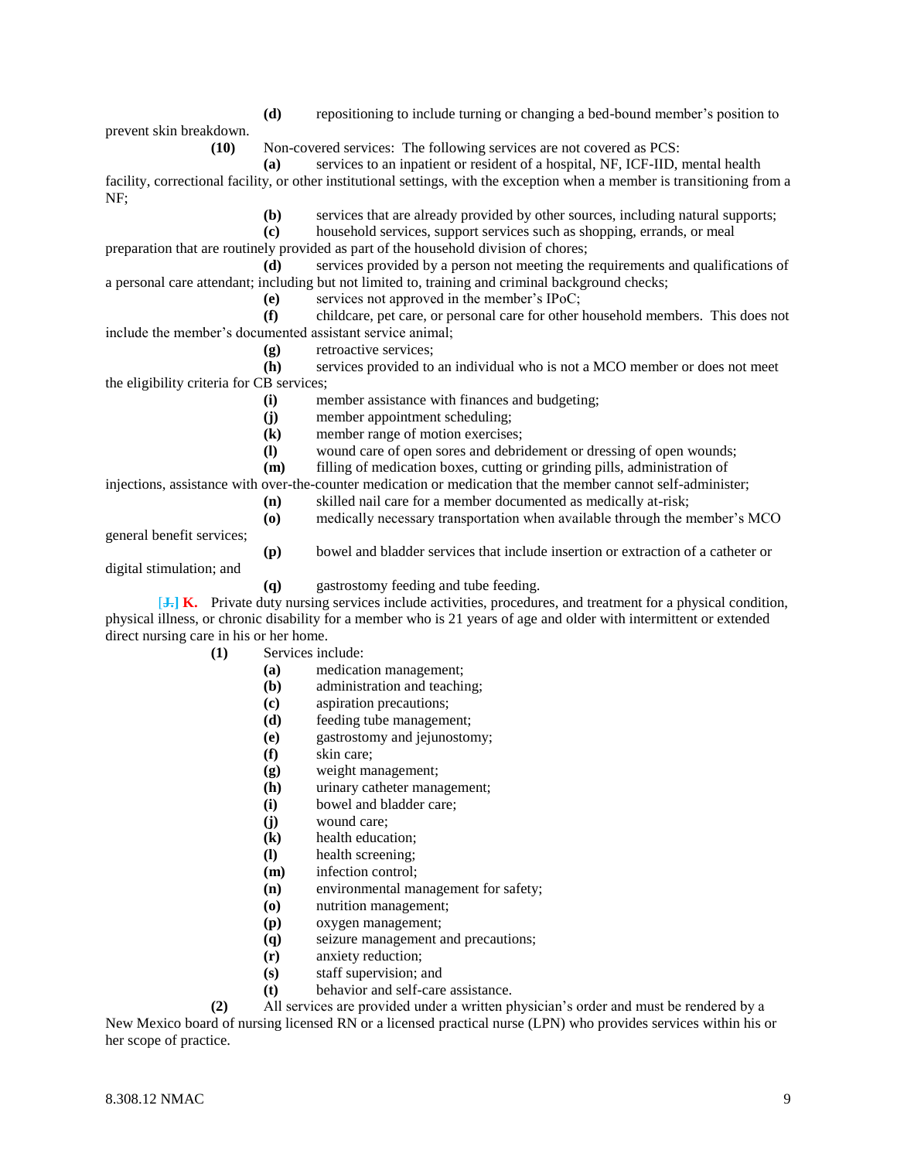prevent skin breakdown.

**(d)** repositioning to include turning or changing a bed-bound member's position to

**(10)** Non-covered services: The following services are not covered as PCS:

**(a)** services to an inpatient or resident of a hospital, NF, ICF-IID, mental health facility, correctional facility, or other institutional settings, with the exception when a member is transitioning from a NF;

**(b)** services that are already provided by other sources, including natural supports;

**(c)** household services, support services such as shopping, errands, or meal

preparation that are routinely provided as part of the household division of chores;

**(d)** services provided by a person not meeting the requirements and qualifications of a personal care attendant; including but not limited to, training and criminal background checks;

**(e)** services not approved in the member's IPoC;

**(f)** childcare, pet care, or personal care for other household members. This does not include the member's documented assistant service animal;

**(g)** retroactive services;

**(h)** services provided to an individual who is not a MCO member or does not meet the eligibility criteria for CB services;

**(i)** member assistance with finances and budgeting;

- **(j)** member appointment scheduling;
- **(k)** member range of motion exercises;
- **(l)** wound care of open sores and debridement or dressing of open wounds;

**(m)** filling of medication boxes, cutting or grinding pills, administration of

injections, assistance with over-the-counter medication or medication that the member cannot self-administer;

- **(n)** skilled nail care for a member documented as medically at-risk;
- **(o)** medically necessary transportation when available through the member's MCO

general benefit services;

**(p)** bowel and bladder services that include insertion or extraction of a catheter or

digital stimulation; and

**(q)** gastrostomy feeding and tube feeding.

[**J.] K.** Private duty nursing services include activities, procedures, and treatment for a physical condition, physical illness, or chronic disability for a member who is 21 years of age and older with intermittent or extended direct nursing care in his or her home.

**(1)** Services include:

- **(a)** medication management;
- **(b)** administration and teaching;
- **(c)** aspiration precautions;
- **(d)** feeding tube management;
- **(e)** gastrostomy and jejunostomy;
- **(f)** skin care;
- **(g)** weight management;
- **(h)** urinary catheter management;
- **(i)** bowel and bladder care;
- **(j)** wound care;
- **(k)** health education;
- **(l)** health screening;
- **(m)** infection control;
- **(n)** environmental management for safety;
- **(o)** nutrition management;
- **(p)** oxygen management;
- **(q)** seizure management and precautions;
- **(r)** anxiety reduction;
- **(s)** staff supervision; and
- **(t)** behavior and self-care assistance.

**(2)** All services are provided under a written physician's order and must be rendered by a New Mexico board of nursing licensed RN or a licensed practical nurse (LPN) who provides services within his or her scope of practice.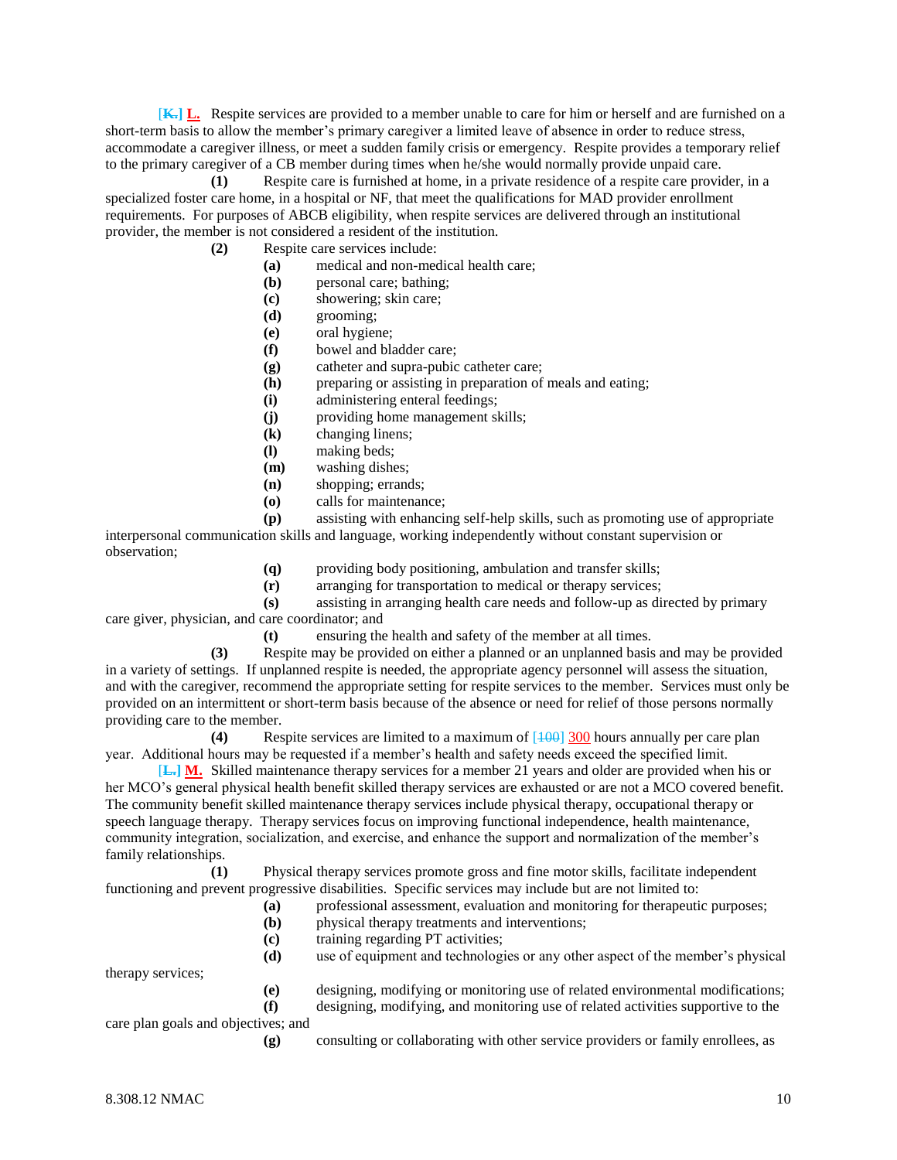[**K.] L.** Respite services are provided to a member unable to care for him or herself and are furnished on a short-term basis to allow the member's primary caregiver a limited leave of absence in order to reduce stress, accommodate a caregiver illness, or meet a sudden family crisis or emergency. Respite provides a temporary relief to the primary caregiver of a CB member during times when he/she would normally provide unpaid care.

**(1)** Respite care is furnished at home, in a private residence of a respite care provider, in a specialized foster care home, in a hospital or NF, that meet the qualifications for MAD provider enrollment requirements. For purposes of ABCB eligibility, when respite services are delivered through an institutional provider, the member is not considered a resident of the institution.

- **(2)** Respite care services include:
	- **(a)** medical and non-medical health care;
	- **(b)** personal care; bathing;
	- **(c)** showering; skin care;
	- **(d)** grooming;
	- **(e)** oral hygiene;
	- **(f)** bowel and bladder care;
	- **(g)** catheter and supra-pubic catheter care;
	- **(h)** preparing or assisting in preparation of meals and eating;
	- **(i)** administering enteral feedings;
	- **(j)** providing home management skills;
	- **(k)** changing linens;
	- **(l)** making beds;
	- **(m)** washing dishes;
	- **(n)** shopping; errands;
	- **(o)** calls for maintenance;

**(p)** assisting with enhancing self-help skills, such as promoting use of appropriate interpersonal communication skills and language, working independently without constant supervision or observation;

- **(q)** providing body positioning, ambulation and transfer skills;
- **(r)** arranging for transportation to medical or therapy services;

**(s)** assisting in arranging health care needs and follow-up as directed by primary care giver, physician, and care coordinator; and

**(t)** ensuring the health and safety of the member at all times.

**(3)** Respite may be provided on either a planned or an unplanned basis and may be provided in a variety of settings. If unplanned respite is needed, the appropriate agency personnel will assess the situation, and with the caregiver, recommend the appropriate setting for respite services to the member. Services must only be provided on an intermittent or short-term basis because of the absence or need for relief of those persons normally providing care to the member.

**(4)** Respite services are limited to a maximum of [100] 300 hours annually per care plan year. Additional hours may be requested if a member's health and safety needs exceed the specified limit.

[**L.] M.** Skilled maintenance therapy services for a member 21 years and older are provided when his or her MCO's general physical health benefit skilled therapy services are exhausted or are not a MCO covered benefit. The community benefit skilled maintenance therapy services include physical therapy, occupational therapy or speech language therapy. Therapy services focus on improving functional independence, health maintenance, community integration, socialization, and exercise, and enhance the support and normalization of the member's family relationships.

**(1)** Physical therapy services promote gross and fine motor skills, facilitate independent functioning and prevent progressive disabilities. Specific services may include but are not limited to:

- **(a)** professional assessment, evaluation and monitoring for therapeutic purposes;
- **(b)** physical therapy treatments and interventions;
- **(c)** training regarding PT activities;
- **(d)** use of equipment and technologies or any other aspect of the member's physical

therapy services;

- **(e)** designing, modifying or monitoring use of related environmental modifications;
- **(f)** designing, modifying, and monitoring use of related activities supportive to the

care plan goals and objectives; and

**(g)** consulting or collaborating with other service providers or family enrollees, as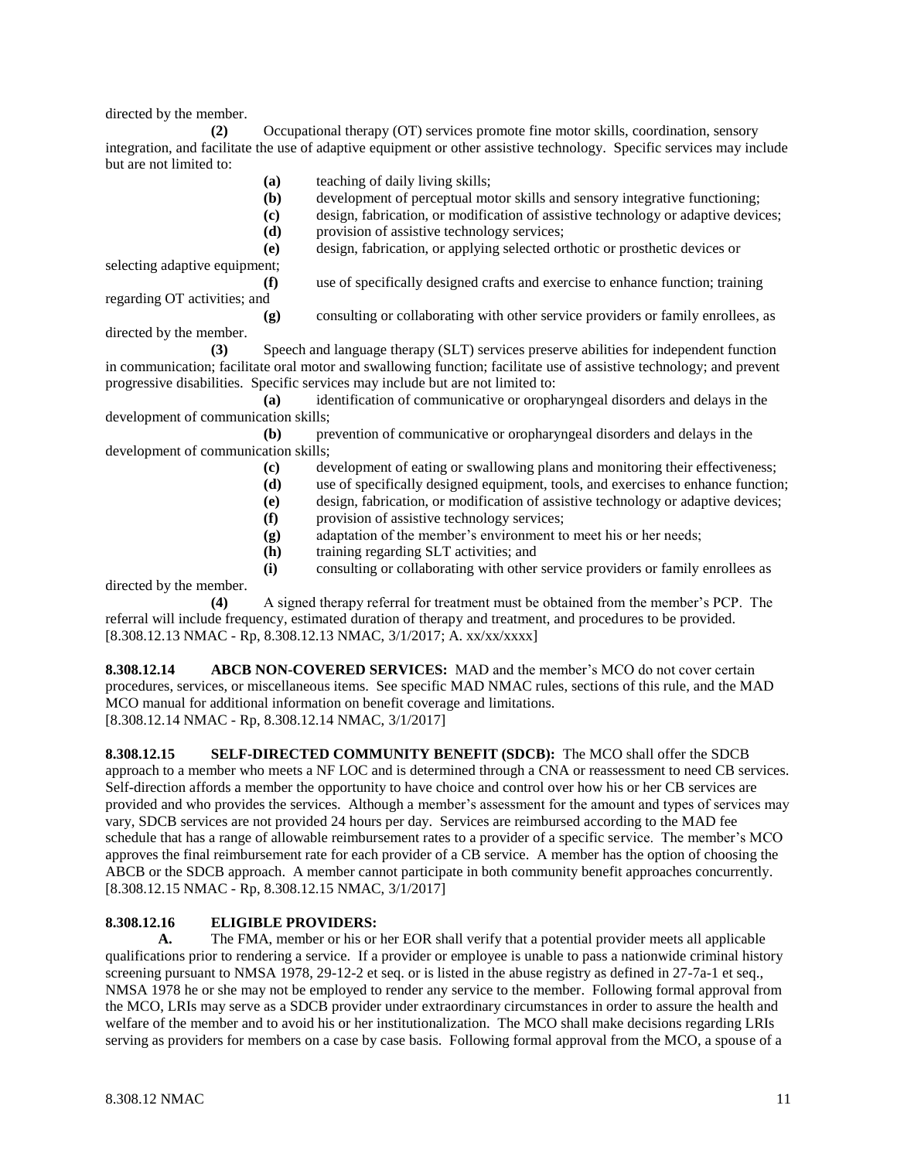directed by the member.

**(2)** Occupational therapy (OT) services promote fine motor skills, coordination, sensory integration, and facilitate the use of adaptive equipment or other assistive technology. Specific services may include but are not limited to:

- **(a)** teaching of daily living skills;
- **(b)** development of perceptual motor skills and sensory integrative functioning;
- **(c)** design, fabrication, or modification of assistive technology or adaptive devices;
- **(d)** provision of assistive technology services;
- **(e)** design, fabrication, or applying selected orthotic or prosthetic devices or

selecting adaptive equipment; **(f)** use of specifically designed crafts and exercise to enhance function; training

regarding OT activities; and

directed by the member.

**(g)** consulting or collaborating with other service providers or family enrollees, as

**(3)** Speech and language therapy (SLT) services preserve abilities for independent function in communication; facilitate oral motor and swallowing function; facilitate use of assistive technology; and prevent progressive disabilities. Specific services may include but are not limited to:

**(a)** identification of communicative or oropharyngeal disorders and delays in the development of communication skills;

**(b)** prevention of communicative or oropharyngeal disorders and delays in the development of communication skills;

- **(c)** development of eating or swallowing plans and monitoring their effectiveness;
- **(d)** use of specifically designed equipment, tools, and exercises to enhance function;
- **(e)** design, fabrication, or modification of assistive technology or adaptive devices;
- **(f)** provision of assistive technology services;
- **(g)** adaptation of the member's environment to meet his or her needs;
- **(h)** training regarding SLT activities; and

**(i)** consulting or collaborating with other service providers or family enrollees as directed by the member.

**(4)** A signed therapy referral for treatment must be obtained from the member's PCP. The referral will include frequency, estimated duration of therapy and treatment, and procedures to be provided. [8.308.12.13 NMAC - Rp, 8.308.12.13 NMAC, 3/1/2017; A. xx/xx/xxxx]

**8.308.12.14 ABCB NON-COVERED SERVICES:** MAD and the member's MCO do not cover certain procedures, services, or miscellaneous items. See specific MAD NMAC rules, sections of this rule, and the MAD MCO manual for additional information on benefit coverage and limitations. [8.308.12.14 NMAC - Rp, 8.308.12.14 NMAC, 3/1/2017]

**8.308.12.15 SELF-DIRECTED COMMUNITY BENEFIT (SDCB):** The MCO shall offer the SDCB approach to a member who meets a NF LOC and is determined through a CNA or reassessment to need CB services. Self-direction affords a member the opportunity to have choice and control over how his or her CB services are provided and who provides the services. Although a member's assessment for the amount and types of services may vary, SDCB services are not provided 24 hours per day. Services are reimbursed according to the MAD fee schedule that has a range of allowable reimbursement rates to a provider of a specific service. The member's MCO approves the final reimbursement rate for each provider of a CB service. A member has the option of choosing the ABCB or the SDCB approach. A member cannot participate in both community benefit approaches concurrently. [8.308.12.15 NMAC - Rp, 8.308.12.15 NMAC, 3/1/2017]

## **8.308.12.16 ELIGIBLE PROVIDERS:**

**A.** The FMA, member or his or her EOR shall verify that a potential provider meets all applicable qualifications prior to rendering a service. If a provider or employee is unable to pass a nationwide criminal history screening pursuant to NMSA 1978, 29-12-2 et seq. or is listed in the abuse registry as defined in 27-7a-1 et seq., NMSA 1978 he or she may not be employed to render any service to the member. Following formal approval from the MCO, LRIs may serve as a SDCB provider under extraordinary circumstances in order to assure the health and welfare of the member and to avoid his or her institutionalization. The MCO shall make decisions regarding LRIs serving as providers for members on a case by case basis. Following formal approval from the MCO, a spouse of a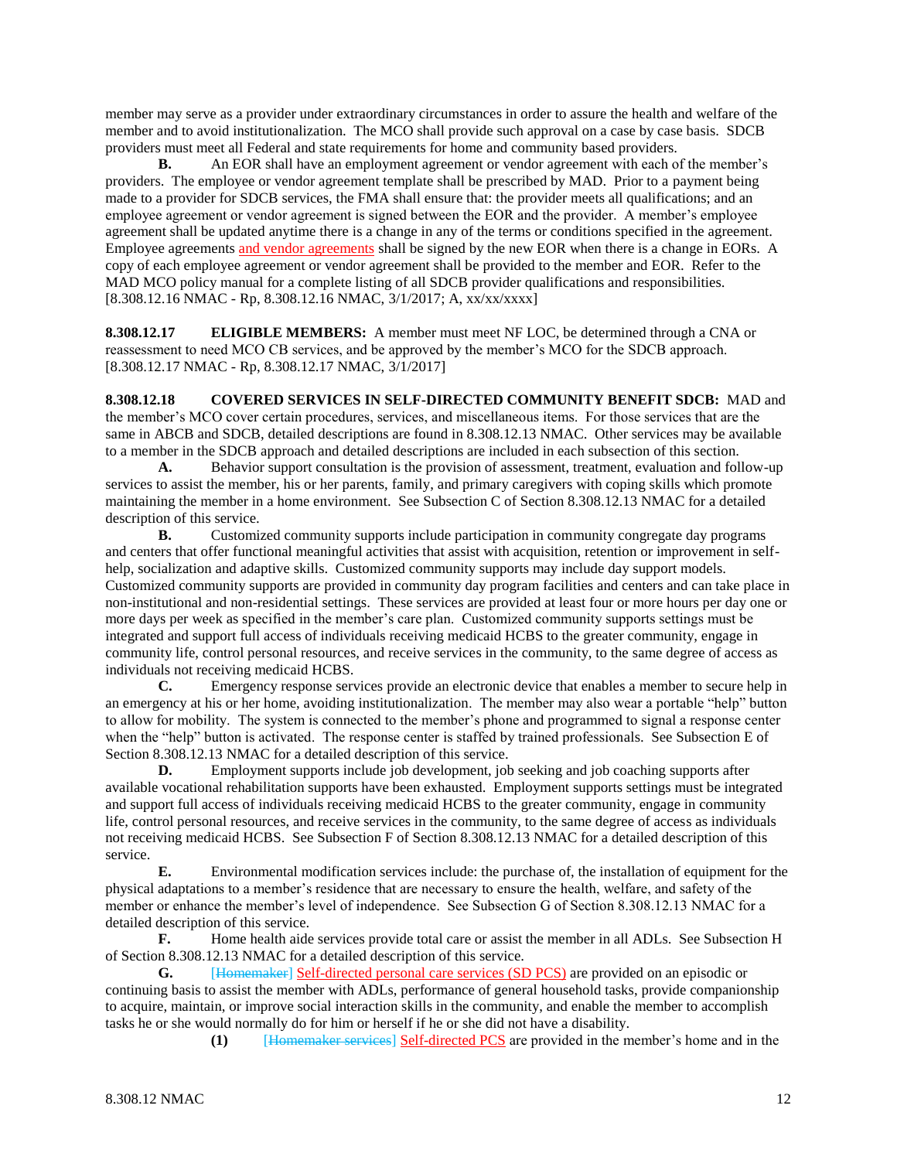member may serve as a provider under extraordinary circumstances in order to assure the health and welfare of the member and to avoid institutionalization. The MCO shall provide such approval on a case by case basis. SDCB providers must meet all Federal and state requirements for home and community based providers.

**B.** An EOR shall have an employment agreement or vendor agreement with each of the member's providers. The employee or vendor agreement template shall be prescribed by MAD. Prior to a payment being made to a provider for SDCB services, the FMA shall ensure that: the provider meets all qualifications; and an employee agreement or vendor agreement is signed between the EOR and the provider. A member's employee agreement shall be updated anytime there is a change in any of the terms or conditions specified in the agreement. Employee agreements and vendor agreements shall be signed by the new EOR when there is a change in EORs. A copy of each employee agreement or vendor agreement shall be provided to the member and EOR. Refer to the MAD MCO policy manual for a complete listing of all SDCB provider qualifications and responsibilities. [8.308.12.16 NMAC - Rp, 8.308.12.16 NMAC, 3/1/2017; A, xx/xx/xxxx]

**8.308.12.17 ELIGIBLE MEMBERS:** A member must meet NF LOC, be determined through a CNA or reassessment to need MCO CB services, and be approved by the member's MCO for the SDCB approach. [8.308.12.17 NMAC - Rp, 8.308.12.17 NMAC, 3/1/2017]

**8.308.12.18 COVERED SERVICES IN SELF-DIRECTED COMMUNITY BENEFIT SDCB:** MAD and the member's MCO cover certain procedures, services, and miscellaneous items. For those services that are the same in ABCB and SDCB, detailed descriptions are found in 8.308.12.13 NMAC. Other services may be available to a member in the SDCB approach and detailed descriptions are included in each subsection of this section.

**A.** Behavior support consultation is the provision of assessment, treatment, evaluation and follow-up services to assist the member, his or her parents, family, and primary caregivers with coping skills which promote maintaining the member in a home environment. See Subsection C of Section 8.308.12.13 NMAC for a detailed description of this service.

**B.** Customized community supports include participation in community congregate day programs and centers that offer functional meaningful activities that assist with acquisition, retention or improvement in selfhelp, socialization and adaptive skills. Customized community supports may include day support models. Customized community supports are provided in community day program facilities and centers and can take place in non-institutional and non-residential settings. These services are provided at least four or more hours per day one or more days per week as specified in the member's care plan. Customized community supports settings must be integrated and support full access of individuals receiving medicaid HCBS to the greater community, engage in community life, control personal resources, and receive services in the community, to the same degree of access as individuals not receiving medicaid HCBS.

**C.** Emergency response services provide an electronic device that enables a member to secure help in an emergency at his or her home, avoiding institutionalization. The member may also wear a portable "help" button to allow for mobility. The system is connected to the member's phone and programmed to signal a response center when the "help" button is activated. The response center is staffed by trained professionals. See Subsection E of Section 8.308.12.13 NMAC for a detailed description of this service.

**D.** Employment supports include job development, job seeking and job coaching supports after available vocational rehabilitation supports have been exhausted. Employment supports settings must be integrated and support full access of individuals receiving medicaid HCBS to the greater community, engage in community life, control personal resources, and receive services in the community, to the same degree of access as individuals not receiving medicaid HCBS. See Subsection F of Section 8.308.12.13 NMAC for a detailed description of this service.

**E.** Environmental modification services include: the purchase of, the installation of equipment for the physical adaptations to a member's residence that are necessary to ensure the health, welfare, and safety of the member or enhance the member's level of independence. See Subsection G of Section 8.308.12.13 NMAC for a detailed description of this service.

**F.** Home health aide services provide total care or assist the member in all ADLs. See Subsection H of Section 8.308.12.13 NMAC for a detailed description of this service.

**G.** [Homemaker] Self-directed personal care services (SD PCS) are provided on an episodic or continuing basis to assist the member with ADLs, performance of general household tasks, provide companionship to acquire, maintain, or improve social interaction skills in the community, and enable the member to accomplish tasks he or she would normally do for him or herself if he or she did not have a disability.

**(1)** [Homemaker services] Self-directed PCS are provided in the member's home and in the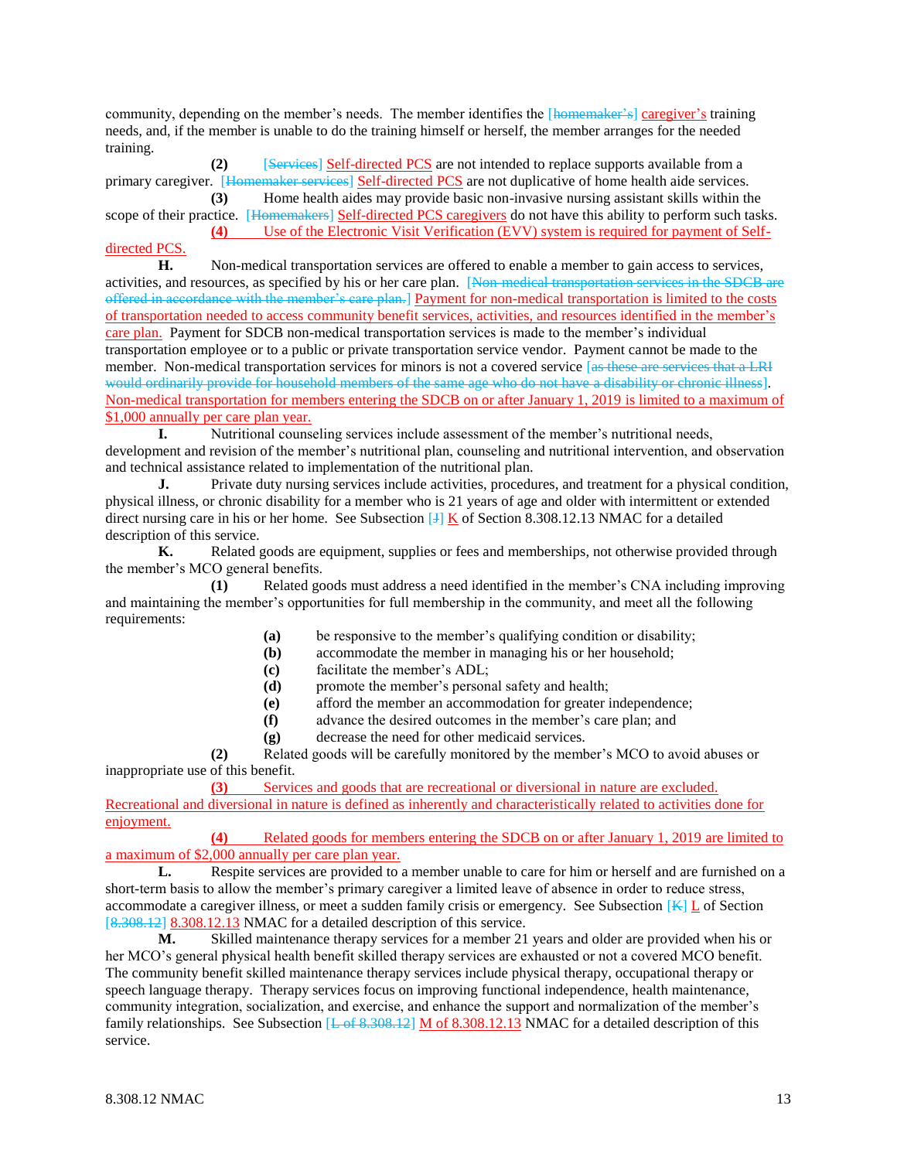community, depending on the member's needs. The member identifies the [homemaker's] caregiver's training needs, and, if the member is unable to do the training himself or herself, the member arranges for the needed training.

**(2)** [Services] Self-directed PCS are not intended to replace supports available from a primary caregiver. [Homemaker services] Self-directed PCS are not duplicative of home health aide services. **(3)** Home health aides may provide basic non-invasive nursing assistant skills within the

scope of their practice. [Homemakers] Self-directed PCS caregivers do not have this ability to perform such tasks. **(4)** Use of the Electronic Visit Verification (EVV) system is required for payment of Self-

#### directed PCS.

**H.** Non-medical transportation services are offered to enable a member to gain access to services, activities, and resources, as specified by his or her care plan. [Non-medical transportation services in the SDCB are offered in accordance with the member's care plan.] Payment for non-medical transportation is limited to the costs of transportation needed to access community benefit services, activities, and resources identified in the member's care plan. Payment for SDCB non-medical transportation services is made to the member's individual transportation employee or to a public or private transportation service vendor. Payment cannot be made to the member. Non-medical transportation services for minors is not a covered service [as these are services that a LRI would ordinarily provide for household members of the same age who do not have a disability or chronic illness]. Non-medical transportation for members entering the SDCB on or after January 1, 2019 is limited to a maximum of \$1,000 annually per care plan year.

**I.** Nutritional counseling services include assessment of the member's nutritional needs, development and revision of the member's nutritional plan, counseling and nutritional intervention, and observation and technical assistance related to implementation of the nutritional plan.

**J.** Private duty nursing services include activities, procedures, and treatment for a physical condition, physical illness, or chronic disability for a member who is 21 years of age and older with intermittent or extended direct nursing care in his or her home. See Subsection  $J_K$  K of Section 8.308.12.13 NMAC for a detailed description of this service.

**K.** Related goods are equipment, supplies or fees and memberships, not otherwise provided through the member's MCO general benefits.

**(1)** Related goods must address a need identified in the member's CNA including improving and maintaining the member's opportunities for full membership in the community, and meet all the following requirements:

- **(a)** be responsive to the member's qualifying condition or disability;
- **(b)** accommodate the member in managing his or her household;
- **(c)** facilitate the member's ADL;
- **(d)** promote the member's personal safety and health;
- **(e)** afford the member an accommodation for greater independence;
- **(f)** advance the desired outcomes in the member's care plan; and
- **(g)** decrease the need for other medicaid services.

**(2)** Related goods will be carefully monitored by the member's MCO to avoid abuses or inappropriate use of this benefit.

**(3)** Services and goods that are recreational or diversional in nature are excluded. Recreational and diversional in nature is defined as inherently and characteristically related to activities done for enjoyment.

**(4)** Related goods for members entering the SDCB on or after January 1, 2019 are limited to a maximum of \$2,000 annually per care plan year.<br> **L.** Respite services are provided to a

Respite services are provided to a member unable to care for him or herself and are furnished on a short-term basis to allow the member's primary caregiver a limited leave of absence in order to reduce stress, accommodate a caregiver illness, or meet a sudden family crisis or emergency. See Subsection  $K$  L of Section [8.308.12] 8.308.12.13 NMAC for a detailed description of this service.

**M.** Skilled maintenance therapy services for a member 21 years and older are provided when his or her MCO's general physical health benefit skilled therapy services are exhausted or not a covered MCO benefit. The community benefit skilled maintenance therapy services include physical therapy, occupational therapy or speech language therapy. Therapy services focus on improving functional independence, health maintenance, community integration, socialization, and exercise, and enhance the support and normalization of the member's family relationships. See Subsection  $L$  of 8.308.12] M of 8.308.12.13 NMAC for a detailed description of this service.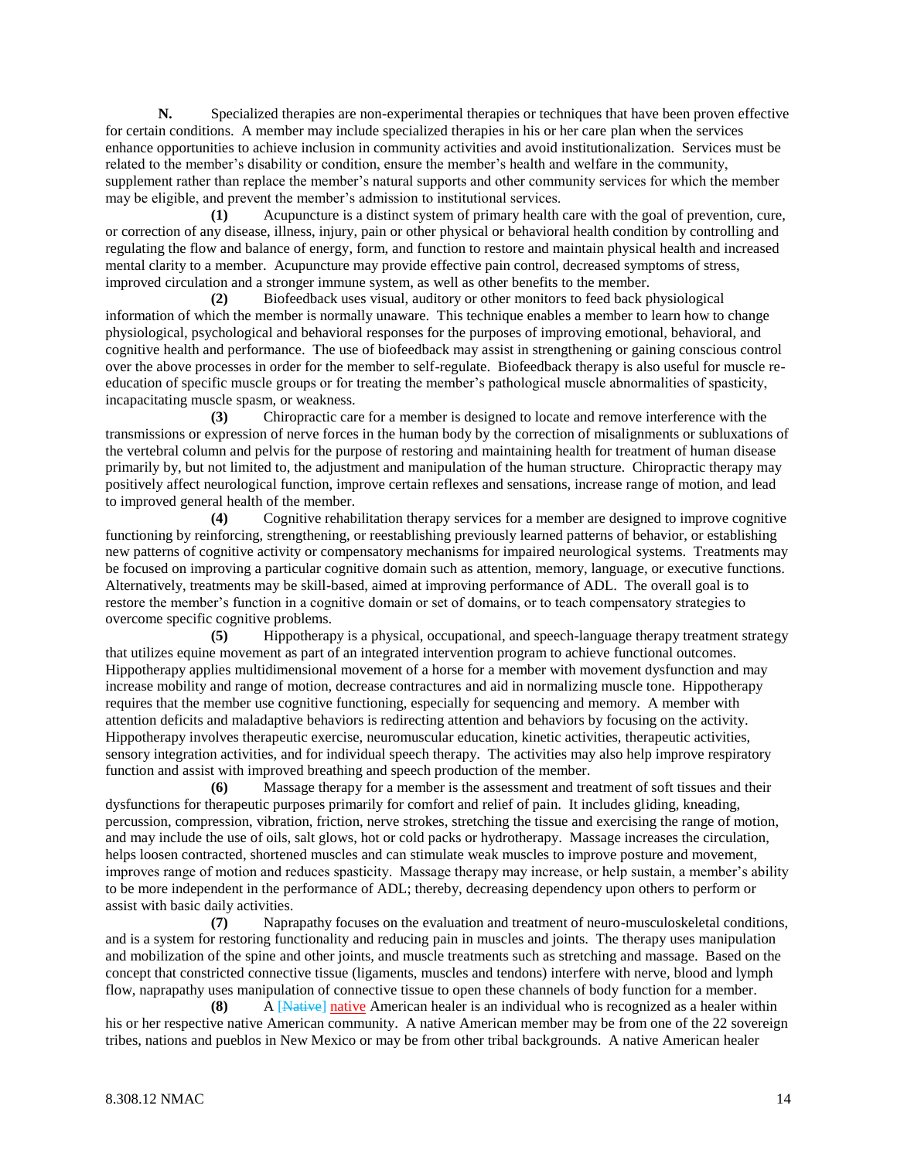**N.** Specialized therapies are non-experimental therapies or techniques that have been proven effective for certain conditions. A member may include specialized therapies in his or her care plan when the services enhance opportunities to achieve inclusion in community activities and avoid institutionalization. Services must be related to the member's disability or condition, ensure the member's health and welfare in the community, supplement rather than replace the member's natural supports and other community services for which the member may be eligible, and prevent the member's admission to institutional services.

**(1)** Acupuncture is a distinct system of primary health care with the goal of prevention, cure, or correction of any disease, illness, injury, pain or other physical or behavioral health condition by controlling and regulating the flow and balance of energy, form, and function to restore and maintain physical health and increased mental clarity to a member. Acupuncture may provide effective pain control, decreased symptoms of stress, improved circulation and a stronger immune system, as well as other benefits to the member.

**(2)** Biofeedback uses visual, auditory or other monitors to feed back physiological information of which the member is normally unaware. This technique enables a member to learn how to change physiological, psychological and behavioral responses for the purposes of improving emotional, behavioral, and cognitive health and performance. The use of biofeedback may assist in strengthening or gaining conscious control over the above processes in order for the member to self-regulate. Biofeedback therapy is also useful for muscle reeducation of specific muscle groups or for treating the member's pathological muscle abnormalities of spasticity, incapacitating muscle spasm, or weakness.

**(3)** Chiropractic care for a member is designed to locate and remove interference with the transmissions or expression of nerve forces in the human body by the correction of misalignments or subluxations of the vertebral column and pelvis for the purpose of restoring and maintaining health for treatment of human disease primarily by, but not limited to, the adjustment and manipulation of the human structure. Chiropractic therapy may positively affect neurological function, improve certain reflexes and sensations, increase range of motion, and lead to improved general health of the member.

**(4)** Cognitive rehabilitation therapy services for a member are designed to improve cognitive functioning by reinforcing, strengthening, or reestablishing previously learned patterns of behavior, or establishing new patterns of cognitive activity or compensatory mechanisms for impaired neurological systems. Treatments may be focused on improving a particular cognitive domain such as attention, memory, language, or executive functions. Alternatively, treatments may be skill-based, aimed at improving performance of ADL. The overall goal is to restore the member's function in a cognitive domain or set of domains, or to teach compensatory strategies to overcome specific cognitive problems.

**(5)** Hippotherapy is a physical, occupational, and speech-language therapy treatment strategy that utilizes equine movement as part of an integrated intervention program to achieve functional outcomes. Hippotherapy applies multidimensional movement of a horse for a member with movement dysfunction and may increase mobility and range of motion, decrease contractures and aid in normalizing muscle tone. Hippotherapy requires that the member use cognitive functioning, especially for sequencing and memory. A member with attention deficits and maladaptive behaviors is redirecting attention and behaviors by focusing on the activity. Hippotherapy involves therapeutic exercise, neuromuscular education, kinetic activities, therapeutic activities, sensory integration activities, and for individual speech therapy. The activities may also help improve respiratory function and assist with improved breathing and speech production of the member.

**(6)** Massage therapy for a member is the assessment and treatment of soft tissues and their dysfunctions for therapeutic purposes primarily for comfort and relief of pain. It includes gliding, kneading, percussion, compression, vibration, friction, nerve strokes, stretching the tissue and exercising the range of motion, and may include the use of oils, salt glows, hot or cold packs or hydrotherapy. Massage increases the circulation, helps loosen contracted, shortened muscles and can stimulate weak muscles to improve posture and movement, improves range of motion and reduces spasticity. Massage therapy may increase, or help sustain, a member's ability to be more independent in the performance of ADL; thereby, decreasing dependency upon others to perform or assist with basic daily activities.

**(7)** Naprapathy focuses on the evaluation and treatment of neuro-musculoskeletal conditions, and is a system for restoring functionality and reducing pain in muscles and joints. The therapy uses manipulation and mobilization of the spine and other joints, and muscle treatments such as stretching and massage. Based on the concept that constricted connective tissue (ligaments, muscles and tendons) interfere with nerve, blood and lymph flow, naprapathy uses manipulation of connective tissue to open these channels of body function for a member.

**(8)** A [Native] native American healer is an individual who is recognized as a healer within his or her respective native American community. A native American member may be from one of the 22 sovereign tribes, nations and pueblos in New Mexico or may be from other tribal backgrounds. A native American healer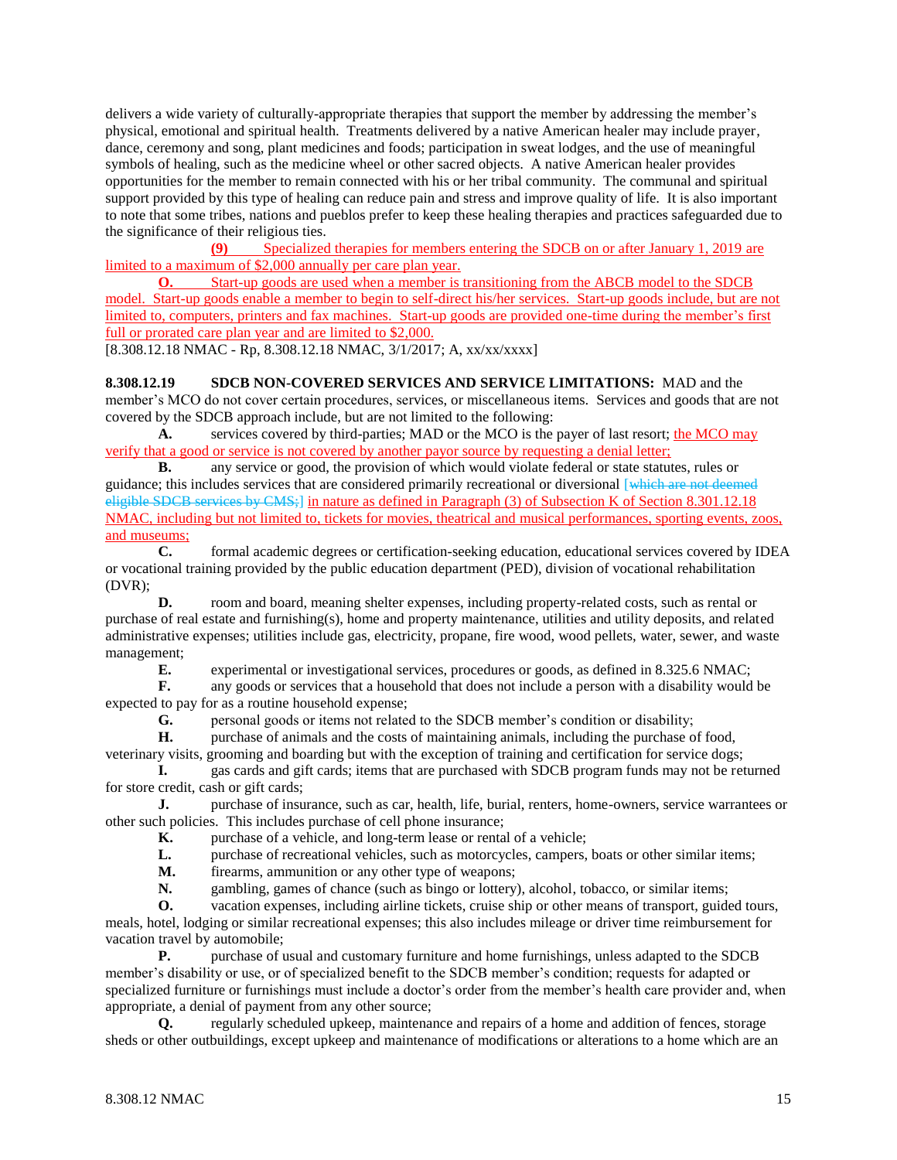delivers a wide variety of culturally-appropriate therapies that support the member by addressing the member's physical, emotional and spiritual health. Treatments delivered by a native American healer may include prayer, dance, ceremony and song, plant medicines and foods; participation in sweat lodges, and the use of meaningful symbols of healing, such as the medicine wheel or other sacred objects. A native American healer provides opportunities for the member to remain connected with his or her tribal community. The communal and spiritual support provided by this type of healing can reduce pain and stress and improve quality of life. It is also important to note that some tribes, nations and pueblos prefer to keep these healing therapies and practices safeguarded due to the significance of their religious ties.

**(9)** Specialized therapies for members entering the SDCB on or after January 1, 2019 are limited to a maximum of \$2,000 annually per care plan year.

**O.** Start-up goods are used when a member is transitioning from the ABCB model to the SDCB model. Start-up goods enable a member to begin to self-direct his/her services. Start-up goods include, but are not limited to, computers, printers and fax machines. Start-up goods are provided one-time during the member's first full or prorated care plan year and are limited to \$2,000.

[8.308.12.18 NMAC - Rp, 8.308.12.18 NMAC, 3/1/2017; A, xx/xx/xxxx]

**8.308.12.19 SDCB NON-COVERED SERVICES AND SERVICE LIMITATIONS:** MAD and the member's MCO do not cover certain procedures, services, or miscellaneous items. Services and goods that are not covered by the SDCB approach include, but are not limited to the following:

**A.** services covered by third-parties; MAD or the MCO is the payer of last resort; the MCO may verify that a good or service is not covered by another payor source by requesting a denial letter;

**B.** any service or good, the provision of which would violate federal or state statutes, rules or guidance; this includes services that are considered primarily recreational or diversional [which are not deemed eligible SDCB services by CMS;] in nature as defined in Paragraph (3) of Subsection K of Section 8.301.12.18 NMAC, including but not limited to, tickets for movies, theatrical and musical performances, sporting events, zoos, and museums;

**C.** formal academic degrees or certification-seeking education, educational services covered by IDEA or vocational training provided by the public education department (PED), division of vocational rehabilitation (DVR);

**D.** room and board, meaning shelter expenses, including property-related costs, such as rental or purchase of real estate and furnishing(s), home and property maintenance, utilities and utility deposits, and related administrative expenses; utilities include gas, electricity, propane, fire wood, wood pellets, water, sewer, and waste management;

**E.** experimental or investigational services, procedures or goods, as defined in 8.325.6 NMAC;

**F.** any goods or services that a household that does not include a person with a disability would be expected to pay for as a routine household expense;

**G.** personal goods or items not related to the SDCB member's condition or disability;

**H.** purchase of animals and the costs of maintaining animals, including the purchase of food, veterinary visits, grooming and boarding but with the exception of training and certification for service dogs;

**I.** gas cards and gift cards; items that are purchased with SDCB program funds may not be returned for store credit, cash or gift cards;

**J.** purchase of insurance, such as car, health, life, burial, renters, home-owners, service warrantees or other such policies. This includes purchase of cell phone insurance;

**K.** purchase of a vehicle, and long-term lease or rental of a vehicle;

**L.** purchase of recreational vehicles, such as motorcycles, campers, boats or other similar items;

**M.** firearms, ammunition or any other type of weapons;

**N.** gambling, games of chance (such as bingo or lottery), alcohol, tobacco, or similar items;

**O.** vacation expenses, including airline tickets, cruise ship or other means of transport, guided tours, meals, hotel, lodging or similar recreational expenses; this also includes mileage or driver time reimbursement for vacation travel by automobile;

**P.** purchase of usual and customary furniture and home furnishings, unless adapted to the SDCB member's disability or use, or of specialized benefit to the SDCB member's condition; requests for adapted or specialized furniture or furnishings must include a doctor's order from the member's health care provider and, when appropriate, a denial of payment from any other source;

**Q.** regularly scheduled upkeep, maintenance and repairs of a home and addition of fences, storage sheds or other outbuildings, except upkeep and maintenance of modifications or alterations to a home which are an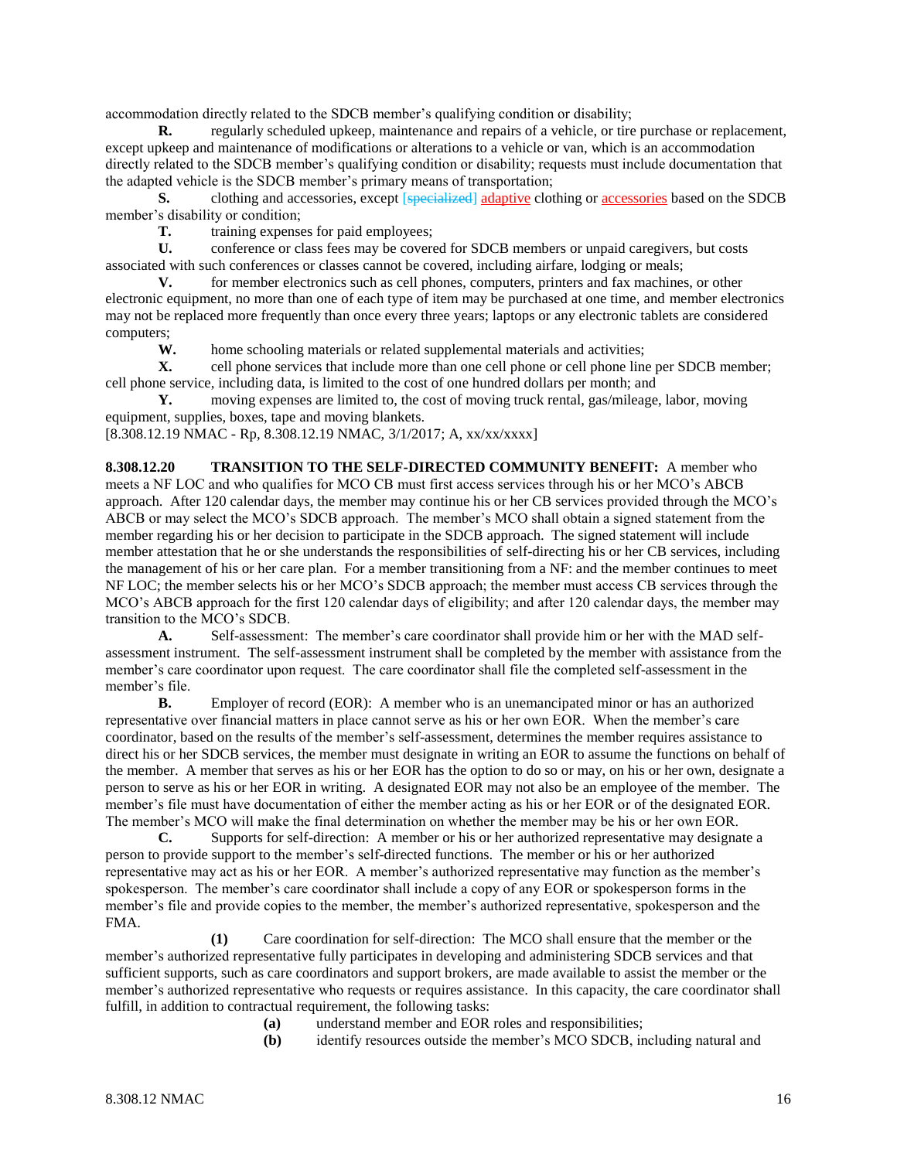accommodation directly related to the SDCB member's qualifying condition or disability;

**R.** regularly scheduled upkeep, maintenance and repairs of a vehicle, or tire purchase or replacement, except upkeep and maintenance of modifications or alterations to a vehicle or van, which is an accommodation directly related to the SDCB member's qualifying condition or disability; requests must include documentation that the adapted vehicle is the SDCB member's primary means of transportation;

**S.** clothing and accessories, except [specialized] adaptive clothing or accessories based on the SDCB member's disability or condition;

**T.** training expenses for paid employees;

U. conference or class fees may be covered for SDCB members or unpaid caregivers, but costs associated with such conferences or classes cannot be covered, including airfare, lodging or meals;

**V.** for member electronics such as cell phones, computers, printers and fax machines, or other electronic equipment, no more than one of each type of item may be purchased at one time, and member electronics may not be replaced more frequently than once every three years; laptops or any electronic tablets are considered computers;

**W.** home schooling materials or related supplemental materials and activities;

**X.** cell phone services that include more than one cell phone or cell phone line per SDCB member; cell phone service, including data, is limited to the cost of one hundred dollars per month; and

**Y.** moving expenses are limited to, the cost of moving truck rental, gas/mileage, labor, moving equipment, supplies, boxes, tape and moving blankets.

[8.308.12.19 NMAC - Rp, 8.308.12.19 NMAC, 3/1/2017; A, xx/xx/xxxx]

**8.308.12.20 TRANSITION TO THE SELF-DIRECTED COMMUNITY BENEFIT:** A member who meets a NF LOC and who qualifies for MCO CB must first access services through his or her MCO's ABCB approach. After 120 calendar days, the member may continue his or her CB services provided through the MCO's ABCB or may select the MCO's SDCB approach. The member's MCO shall obtain a signed statement from the member regarding his or her decision to participate in the SDCB approach. The signed statement will include member attestation that he or she understands the responsibilities of self-directing his or her CB services, including the management of his or her care plan. For a member transitioning from a NF: and the member continues to meet NF LOC; the member selects his or her MCO's SDCB approach; the member must access CB services through the MCO's ABCB approach for the first 120 calendar days of eligibility; and after 120 calendar days, the member may transition to the MCO's SDCB.

**A.** Self-assessment: The member's care coordinator shall provide him or her with the MAD selfassessment instrument. The self-assessment instrument shall be completed by the member with assistance from the member's care coordinator upon request. The care coordinator shall file the completed self-assessment in the member's file.

**B.** Employer of record (EOR): A member who is an unemancipated minor or has an authorized representative over financial matters in place cannot serve as his or her own EOR. When the member's care coordinator, based on the results of the member's self-assessment, determines the member requires assistance to direct his or her SDCB services, the member must designate in writing an EOR to assume the functions on behalf of the member. A member that serves as his or her EOR has the option to do so or may, on his or her own, designate a person to serve as his or her EOR in writing. A designated EOR may not also be an employee of the member. The member's file must have documentation of either the member acting as his or her EOR or of the designated EOR. The member's MCO will make the final determination on whether the member may be his or her own EOR.

**C.** Supports for self-direction: A member or his or her authorized representative may designate a person to provide support to the member's self-directed functions. The member or his or her authorized representative may act as his or her EOR. A member's authorized representative may function as the member's spokesperson. The member's care coordinator shall include a copy of any EOR or spokesperson forms in the member's file and provide copies to the member, the member's authorized representative, spokesperson and the FMA.

**(1)** Care coordination for self-direction: The MCO shall ensure that the member or the member's authorized representative fully participates in developing and administering SDCB services and that sufficient supports, such as care coordinators and support brokers, are made available to assist the member or the member's authorized representative who requests or requires assistance. In this capacity, the care coordinator shall fulfill, in addition to contractual requirement, the following tasks:

**(a)** understand member and EOR roles and responsibilities;

**(b)** identify resources outside the member's MCO SDCB, including natural and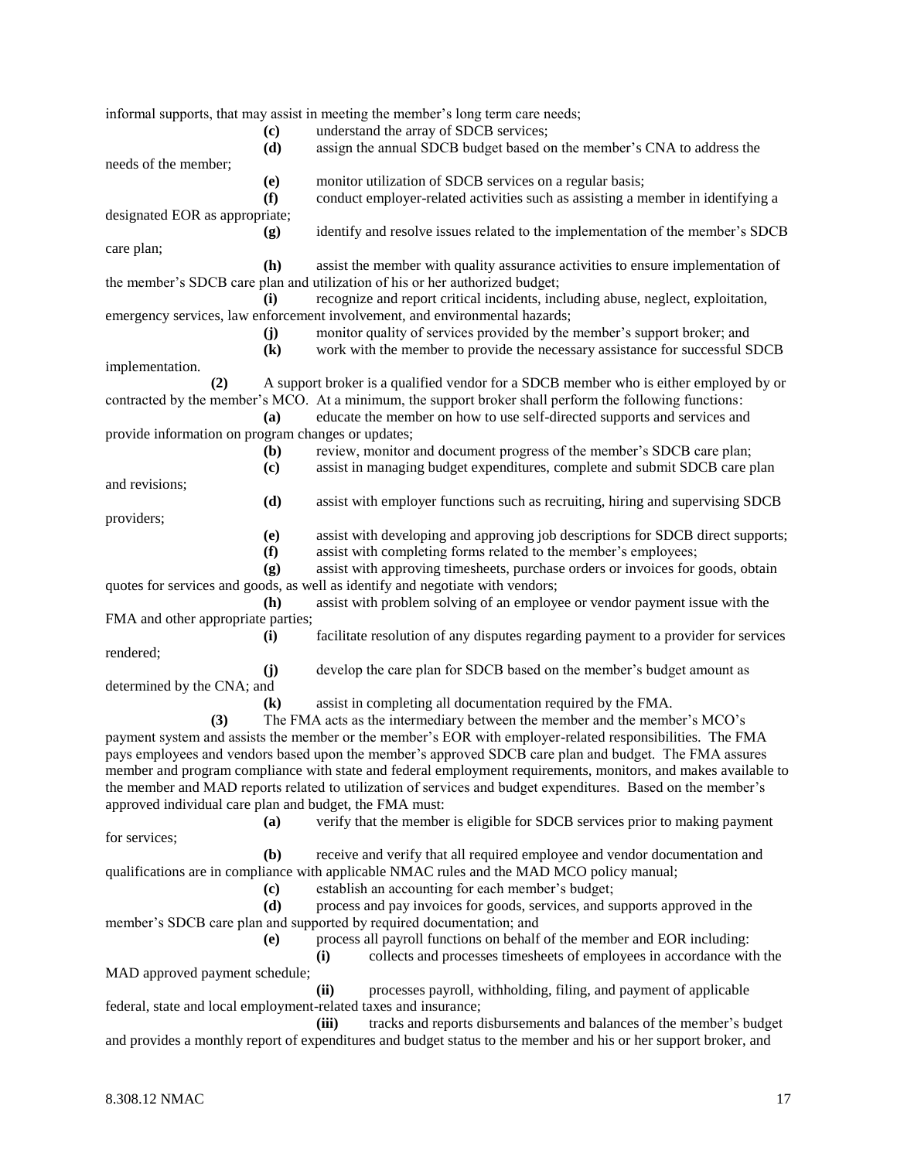|                                                         |                                    | informal supports, that may assist in meeting the member's long term care needs;                                                                    |
|---------------------------------------------------------|------------------------------------|-----------------------------------------------------------------------------------------------------------------------------------------------------|
|                                                         | $\left( \mathbf{c} \right)$        | understand the array of SDCB services;                                                                                                              |
|                                                         | (d)                                | assign the annual SDCB budget based on the member's CNA to address the                                                                              |
| needs of the member;                                    |                                    |                                                                                                                                                     |
|                                                         | (e)                                | monitor utilization of SDCB services on a regular basis;                                                                                            |
|                                                         | (f)                                | conduct employer-related activities such as assisting a member in identifying a                                                                     |
| designated EOR as appropriate;                          |                                    |                                                                                                                                                     |
| care plan;                                              | (g)                                | identify and resolve issues related to the implementation of the member's SDCB                                                                      |
|                                                         | (h)                                | assist the member with quality assurance activities to ensure implementation of                                                                     |
|                                                         |                                    | the member's SDCB care plan and utilization of his or her authorized budget;                                                                        |
|                                                         | (i)                                | recognize and report critical incidents, including abuse, neglect, exploitation,                                                                    |
|                                                         |                                    | emergency services, law enforcement involvement, and environmental hazards;                                                                         |
|                                                         | (j)                                | monitor quality of services provided by the member's support broker; and                                                                            |
|                                                         | $\left( \mathbf{k}\right)$         | work with the member to provide the necessary assistance for successful SDCB                                                                        |
| implementation.                                         |                                    |                                                                                                                                                     |
| (2)                                                     |                                    | A support broker is a qualified vendor for a SDCB member who is either employed by or                                                               |
|                                                         |                                    | contracted by the member's MCO. At a minimum, the support broker shall perform the following functions:                                             |
|                                                         | (a)                                | educate the member on how to use self-directed supports and services and                                                                            |
| provide information on program changes or updates;      |                                    |                                                                                                                                                     |
|                                                         | (b)<br>$\left( \mathbf{c} \right)$ | review, monitor and document progress of the member's SDCB care plan;<br>assist in managing budget expenditures, complete and submit SDCB care plan |
| and revisions;                                          |                                    |                                                                                                                                                     |
|                                                         | (d)                                | assist with employer functions such as recruiting, hiring and supervising SDCB                                                                      |
| providers;                                              |                                    |                                                                                                                                                     |
|                                                         | (e)                                | assist with developing and approving job descriptions for SDCB direct supports;                                                                     |
|                                                         | (f)                                | assist with completing forms related to the member's employees;                                                                                     |
|                                                         | (g)                                | assist with approving timesheets, purchase orders or invoices for goods, obtain                                                                     |
|                                                         |                                    | quotes for services and goods, as well as identify and negotiate with vendors;                                                                      |
|                                                         | (h)                                | assist with problem solving of an employee or vendor payment issue with the                                                                         |
| FMA and other appropriate parties;                      |                                    |                                                                                                                                                     |
|                                                         | (i)                                | facilitate resolution of any disputes regarding payment to a provider for services                                                                  |
| rendered;                                               |                                    |                                                                                                                                                     |
|                                                         | (j)                                | develop the care plan for SDCB based on the member's budget amount as                                                                               |
| determined by the CNA; and                              | $\mathbf{(k)}$                     | assist in completing all documentation required by the FMA.                                                                                         |
| (3)                                                     |                                    | The FMA acts as the intermediary between the member and the member's MCO's                                                                          |
|                                                         |                                    | payment system and assists the member or the member's EOR with employer-related responsibilities. The FMA                                           |
|                                                         |                                    | pays employees and vendors based upon the member's approved SDCB care plan and budget. The FMA assures                                              |
|                                                         |                                    | member and program compliance with state and federal employment requirements, monitors, and makes available to                                      |
|                                                         |                                    | the member and MAD reports related to utilization of services and budget expenditures. Based on the member's                                        |
| approved individual care plan and budget, the FMA must: |                                    |                                                                                                                                                     |
|                                                         | <b>(a)</b>                         | verify that the member is eligible for SDCB services prior to making payment                                                                        |
| for services;                                           |                                    |                                                                                                                                                     |
|                                                         | (b)                                | receive and verify that all required employee and vendor documentation and                                                                          |
|                                                         |                                    | qualifications are in compliance with applicable NMAC rules and the MAD MCO policy manual;                                                          |
|                                                         | (c)                                | establish an accounting for each member's budget;                                                                                                   |
|                                                         | (d)                                | process and pay invoices for goods, services, and supports approved in the                                                                          |
|                                                         | (e)                                | member's SDCB care plan and supported by required documentation; and<br>process all payroll functions on behalf of the member and EOR including:    |
|                                                         |                                    | collects and processes timesheets of employees in accordance with the<br>(i)                                                                        |
| MAD approved payment schedule;                          |                                    |                                                                                                                                                     |
|                                                         |                                    | (ii)<br>processes payroll, withholding, filing, and payment of applicable                                                                           |
|                                                         |                                    | federal, state and local employment-related taxes and insurance;                                                                                    |
|                                                         |                                    | tracks and reports disbursements and balances of the member's budget<br>(iii)                                                                       |
|                                                         |                                    | and provides a monthly report of expenditures and budget status to the member and his or her support broker, and                                    |
|                                                         |                                    |                                                                                                                                                     |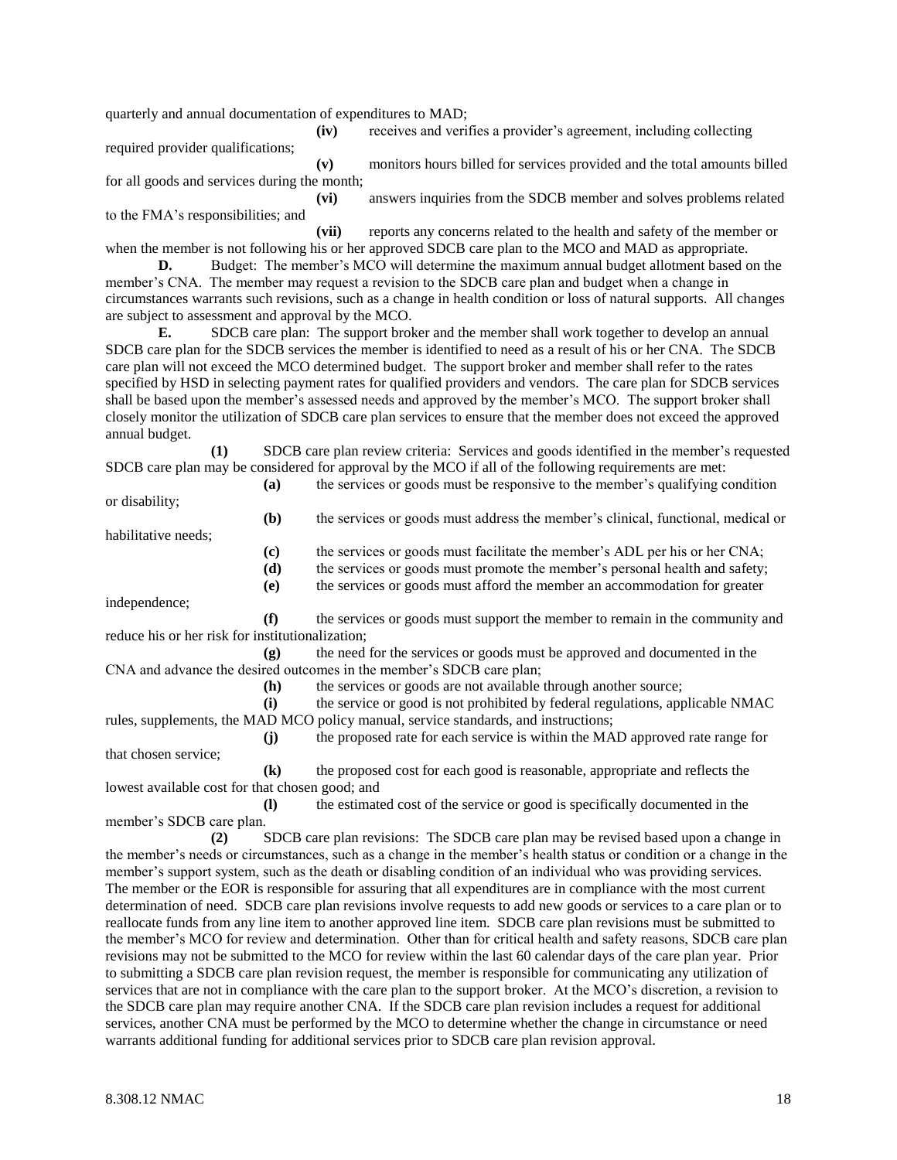quarterly and annual documentation of expenditures to MAD;

**(iv)** receives and verifies a provider's agreement, including collecting

required provider qualifications;

**(v)** monitors hours billed for services provided and the total amounts billed for all goods and services during the month;

**(vi)** answers inquiries from the SDCB member and solves problems related to the FMA's responsibilities; and

**(vii)** reports any concerns related to the health and safety of the member or when the member is not following his or her approved SDCB care plan to the MCO and MAD as appropriate. **D.** Budget: The member's MCO will determine the maximum annual budget allotment based on the

member's CNA. The member may request a revision to the SDCB care plan and budget when a change in circumstances warrants such revisions, such as a change in health condition or loss of natural supports. All changes are subject to assessment and approval by the MCO.

**E.** SDCB care plan: The support broker and the member shall work together to develop an annual SDCB care plan for the SDCB services the member is identified to need as a result of his or her CNA. The SDCB care plan will not exceed the MCO determined budget. The support broker and member shall refer to the rates specified by HSD in selecting payment rates for qualified providers and vendors. The care plan for SDCB services shall be based upon the member's assessed needs and approved by the member's MCO. The support broker shall closely monitor the utilization of SDCB care plan services to ensure that the member does not exceed the approved annual budget.

**(1)** SDCB care plan review criteria: Services and goods identified in the member's requested SDCB care plan may be considered for approval by the MCO if all of the following requirements are met: **(a)** the services or goods must be responsive to the member's qualifying condition

or disability;

habilitative needs;

**(b)** the services or goods must address the member's clinical, functional, medical or

**(c)** the services or goods must facilitate the member's ADL per his or her CNA;

**(d)** the services or goods must promote the member's personal health and safety;

**(e)** the services or goods must afford the member an accommodation for greater

independence;

**(f)** the services or goods must support the member to remain in the community and reduce his or her risk for institutionalization;

**(g)** the need for the services or goods must be approved and documented in the CNA and advance the desired outcomes in the member's SDCB care plan;

**(h)** the services or goods are not available through another source;

**(i)** the service or good is not prohibited by federal regulations, applicable NMAC rules, supplements, the MAD MCO policy manual, service standards, and instructions;

**(j)** the proposed rate for each service is within the MAD approved rate range for that chosen service;

**(k)** the proposed cost for each good is reasonable, appropriate and reflects the lowest available cost for that chosen good; and

**(l)** the estimated cost of the service or good is specifically documented in the member's SDCB care plan.

**(2)** SDCB care plan revisions: The SDCB care plan may be revised based upon a change in the member's needs or circumstances, such as a change in the member's health status or condition or a change in the member's support system, such as the death or disabling condition of an individual who was providing services. The member or the EOR is responsible for assuring that all expenditures are in compliance with the most current determination of need. SDCB care plan revisions involve requests to add new goods or services to a care plan or to reallocate funds from any line item to another approved line item. SDCB care plan revisions must be submitted to the member's MCO for review and determination. Other than for critical health and safety reasons, SDCB care plan revisions may not be submitted to the MCO for review within the last 60 calendar days of the care plan year. Prior to submitting a SDCB care plan revision request, the member is responsible for communicating any utilization of services that are not in compliance with the care plan to the support broker. At the MCO's discretion, a revision to the SDCB care plan may require another CNA. If the SDCB care plan revision includes a request for additional services, another CNA must be performed by the MCO to determine whether the change in circumstance or need warrants additional funding for additional services prior to SDCB care plan revision approval.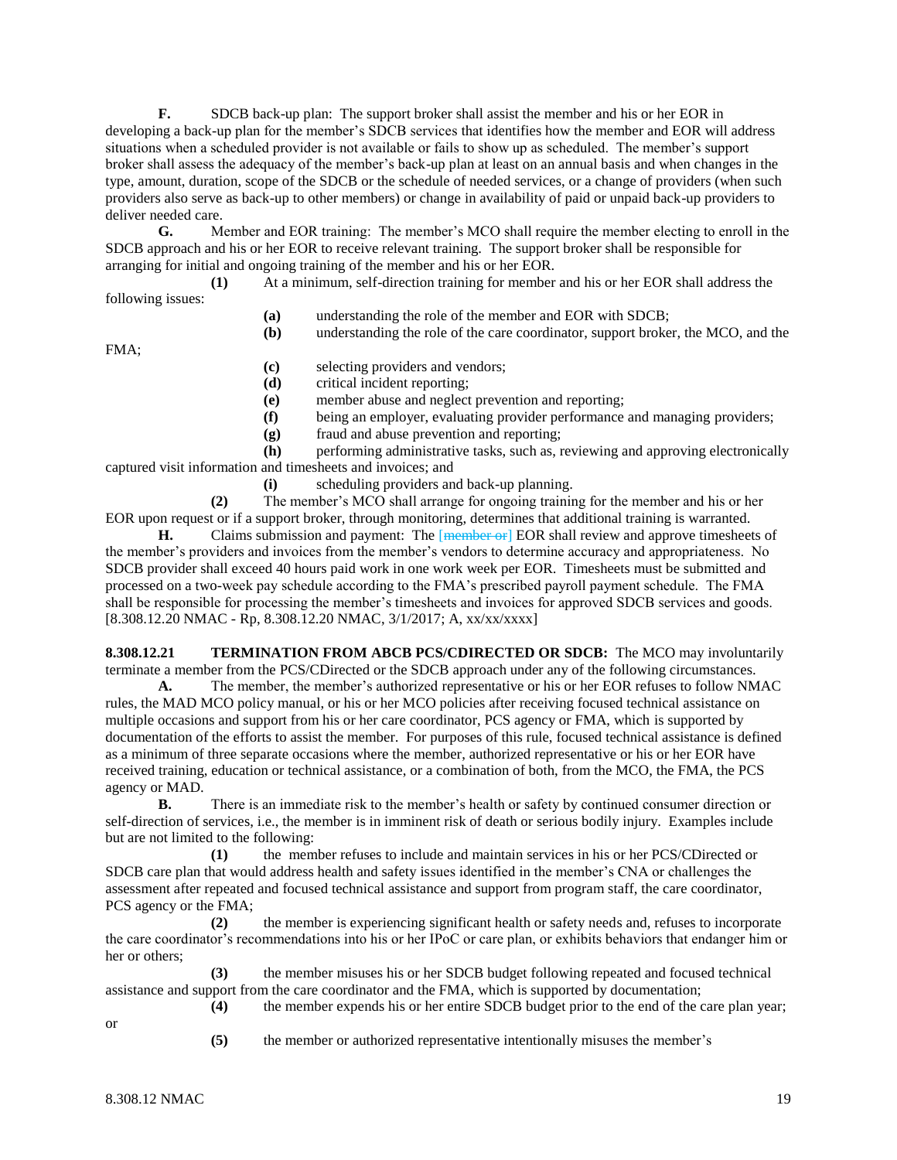**F.** SDCB back-up plan: The support broker shall assist the member and his or her EOR in developing a back-up plan for the member's SDCB services that identifies how the member and EOR will address situations when a scheduled provider is not available or fails to show up as scheduled. The member's support broker shall assess the adequacy of the member's back-up plan at least on an annual basis and when changes in the type, amount, duration, scope of the SDCB or the schedule of needed services, or a change of providers (when such providers also serve as back-up to other members) or change in availability of paid or unpaid back-up providers to deliver needed care.

**G.** Member and EOR training: The member's MCO shall require the member electing to enroll in the SDCB approach and his or her EOR to receive relevant training. The support broker shall be responsible for arranging for initial and ongoing training of the member and his or her EOR.

**(1)** At a minimum, self-direction training for member and his or her EOR shall address the following issues:

- **(a)** understanding the role of the member and EOR with SDCB;
- **(b)** understanding the role of the care coordinator, support broker, the MCO, and the

FMA;

- **(c)** selecting providers and vendors;
- **(d)** critical incident reporting;
- **(e)** member abuse and neglect prevention and reporting;
- **(f)** being an employer, evaluating provider performance and managing providers;
- **(g)** fraud and abuse prevention and reporting;

**(h)** performing administrative tasks, such as, reviewing and approving electronically captured visit information and timesheets and invoices; and

**(i)** scheduling providers and back-up planning.

**(2)** The member's MCO shall arrange for ongoing training for the member and his or her EOR upon request or if a support broker, through monitoring, determines that additional training is warranted.

**H.** Claims submission and payment: The [member or] EOR shall review and approve timesheets of the member's providers and invoices from the member's vendors to determine accuracy and appropriateness. No SDCB provider shall exceed 40 hours paid work in one work week per EOR. Timesheets must be submitted and processed on a two-week pay schedule according to the FMA's prescribed payroll payment schedule. The FMA shall be responsible for processing the member's timesheets and invoices for approved SDCB services and goods. [8.308.12.20 NMAC - Rp, 8.308.12.20 NMAC, 3/1/2017; A, xx/xx/xxxx]

**8.308.12.21 TERMINATION FROM ABCB PCS/CDIRECTED OR SDCB:** The MCO may involuntarily terminate a member from the PCS/CDirected or the SDCB approach under any of the following circumstances. **A.** The member, the member's authorized representative or his or her EOR refuses to follow NMAC

rules, the MAD MCO policy manual, or his or her MCO policies after receiving focused technical assistance on multiple occasions and support from his or her care coordinator, PCS agency or FMA, which is supported by documentation of the efforts to assist the member. For purposes of this rule, focused technical assistance is defined as a minimum of three separate occasions where the member, authorized representative or his or her EOR have received training, education or technical assistance, or a combination of both, from the MCO, the FMA, the PCS agency or MAD.

**B.** There is an immediate risk to the member's health or safety by continued consumer direction or self-direction of services, i.e., the member is in imminent risk of death or serious bodily injury. Examples include but are not limited to the following:

**(1)** the member refuses to include and maintain services in his or her PCS/CDirected or SDCB care plan that would address health and safety issues identified in the member's CNA or challenges the assessment after repeated and focused technical assistance and support from program staff, the care coordinator, PCS agency or the FMA;

**(2)** the member is experiencing significant health or safety needs and, refuses to incorporate the care coordinator's recommendations into his or her IPoC or care plan, or exhibits behaviors that endanger him or her or others;

**(3)** the member misuses his or her SDCB budget following repeated and focused technical assistance and support from the care coordinator and the FMA, which is supported by documentation; **(4)** the member expends his or her entire SDCB budget prior to the end of the care plan year;

- or
- **(5)** the member or authorized representative intentionally misuses the member's